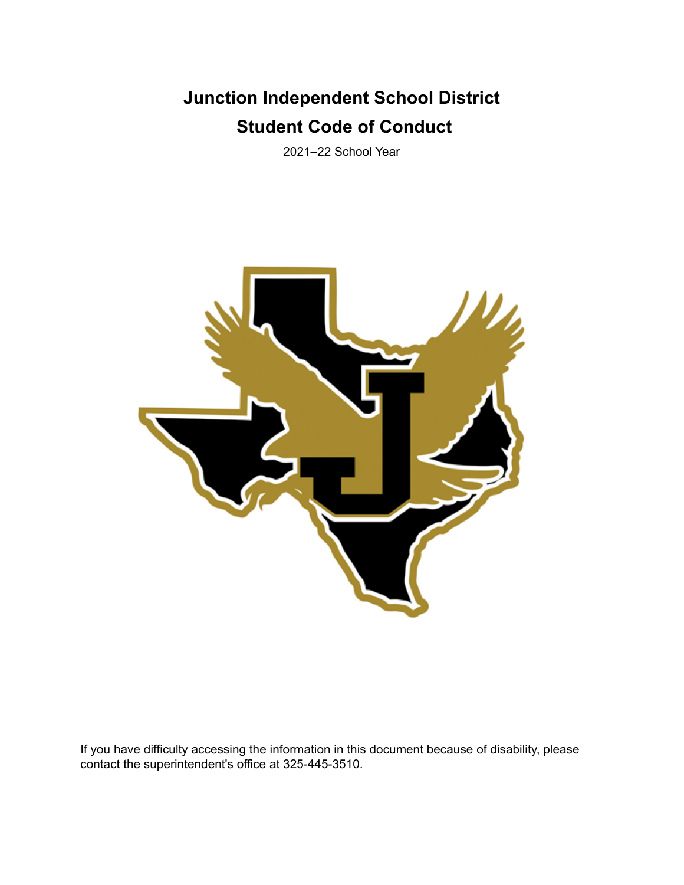# **Junction Independent School District Student Code of Conduct**

2021–22 School Year



If you have difficulty accessing the information in this document because of disability, please contact the superintendent's office at 325-445-3510.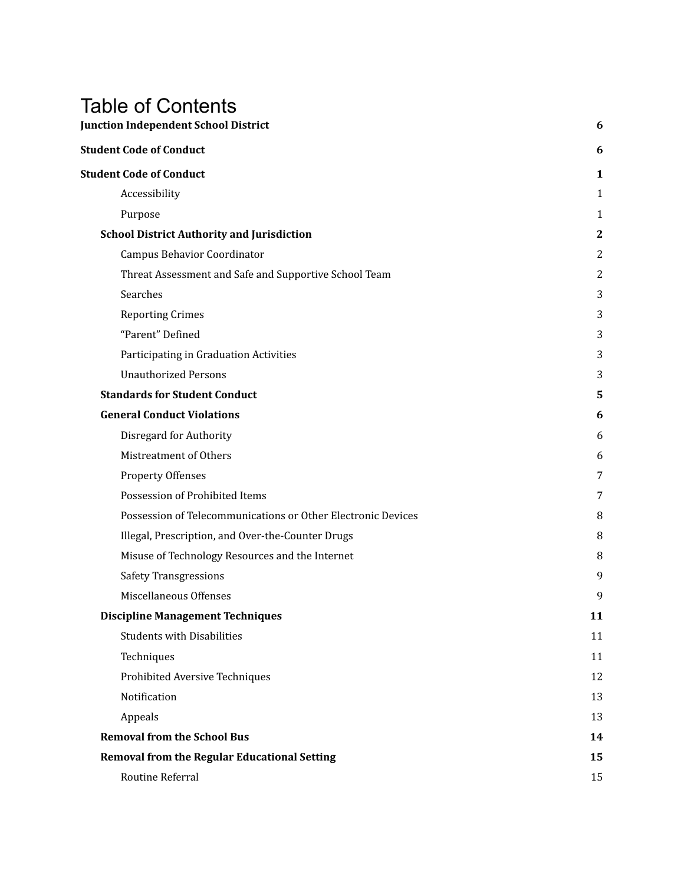# Table of Contents

| <b>Junction Independent School District</b>                  | 6                |
|--------------------------------------------------------------|------------------|
| <b>Student Code of Conduct</b>                               | 6                |
| <b>Student Code of Conduct</b>                               | 1                |
| Accessibility                                                | 1                |
| Purpose                                                      | 1                |
| <b>School District Authority and Jurisdiction</b>            | $\boldsymbol{2}$ |
| Campus Behavior Coordinator                                  | 2                |
| Threat Assessment and Safe and Supportive School Team        | $\overline{c}$   |
| Searches                                                     | 3                |
| <b>Reporting Crimes</b>                                      | 3                |
| "Parent" Defined                                             | 3                |
| Participating in Graduation Activities                       | 3                |
| <b>Unauthorized Persons</b>                                  | 3                |
| <b>Standards for Student Conduct</b>                         | 5                |
| <b>General Conduct Violations</b>                            | 6                |
| Disregard for Authority                                      | 6                |
| Mistreatment of Others                                       | 6                |
| <b>Property Offenses</b>                                     | 7                |
| Possession of Prohibited Items                               | 7                |
| Possession of Telecommunications or Other Electronic Devices | 8                |
| Illegal, Prescription, and Over-the-Counter Drugs            | 8                |
| Misuse of Technology Resources and the Internet              | 8                |
| <b>Safety Transgressions</b>                                 | 9                |
| Miscellaneous Offenses                                       | 9                |
| <b>Discipline Management Techniques</b>                      | 11               |
| <b>Students with Disabilities</b>                            | 11               |
| Techniques                                                   | 11               |
| Prohibited Aversive Techniques                               | 12               |
| Notification                                                 | 13               |
| Appeals                                                      | 13               |
| <b>Removal from the School Bus</b>                           | 14               |
| <b>Removal from the Regular Educational Setting</b>          | 15               |
| Routine Referral                                             | 15               |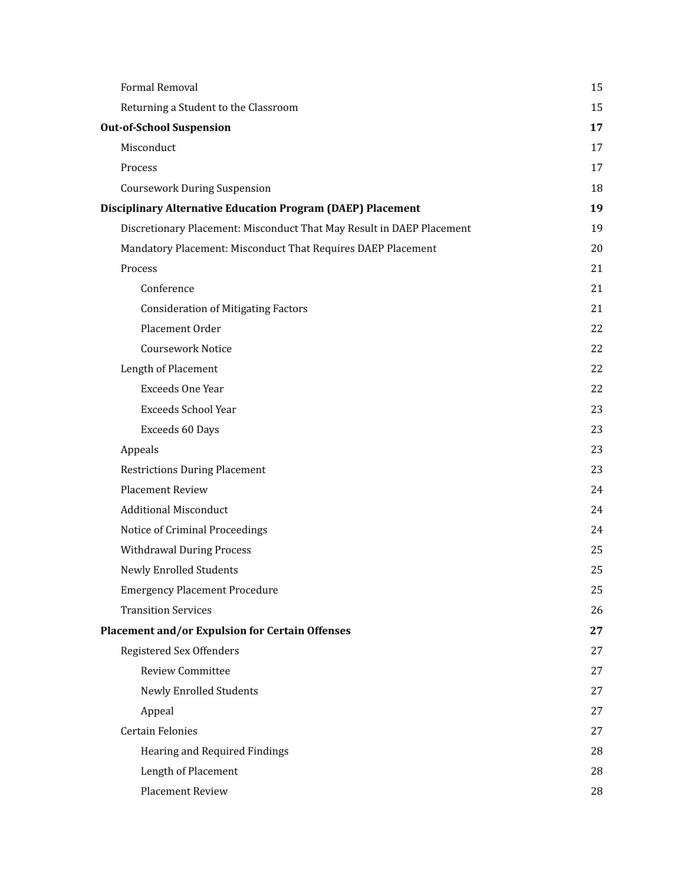| Formal Removal                                                        | 15 |
|-----------------------------------------------------------------------|----|
| Returning a Student to the Classroom                                  | 15 |
| <b>Out-of-School Suspension</b>                                       | 17 |
| Misconduct                                                            | 17 |
| Process                                                               | 17 |
| <b>Coursework During Suspension</b>                                   | 18 |
| <b>Disciplinary Alternative Education Program (DAEP) Placement</b>    | 19 |
| Discretionary Placement: Misconduct That May Result in DAEP Placement | 19 |
| Mandatory Placement: Misconduct That Requires DAEP Placement          | 20 |
| Process                                                               | 21 |
| Conference                                                            | 21 |
| <b>Consideration of Mitigating Factors</b>                            | 21 |
| Placement Order                                                       | 22 |
| <b>Coursework Notice</b>                                              | 22 |
| Length of Placement                                                   | 22 |
| <b>Exceeds One Year</b>                                               | 22 |
| <b>Exceeds School Year</b>                                            | 23 |
| Exceeds 60 Days                                                       | 23 |
| Appeals                                                               | 23 |
| <b>Restrictions During Placement</b>                                  | 23 |
| <b>Placement Review</b>                                               | 24 |
| <b>Additional Misconduct</b>                                          | 24 |
| Notice of Criminal Proceedings                                        | 24 |
| <b>Withdrawal During Process</b>                                      | 25 |
| <b>Newly Enrolled Students</b>                                        | 25 |
| <b>Emergency Placement Procedure</b>                                  | 25 |
| <b>Transition Services</b>                                            | 26 |
| <b>Placement and/or Expulsion for Certain Offenses</b>                | 27 |
| Registered Sex Offenders                                              | 27 |
| <b>Review Committee</b>                                               | 27 |
| <b>Newly Enrolled Students</b>                                        | 27 |
| Appeal                                                                | 27 |
| <b>Certain Felonies</b>                                               | 27 |
| Hearing and Required Findings                                         | 28 |
| Length of Placement                                                   | 28 |
| Placement Review                                                      | 28 |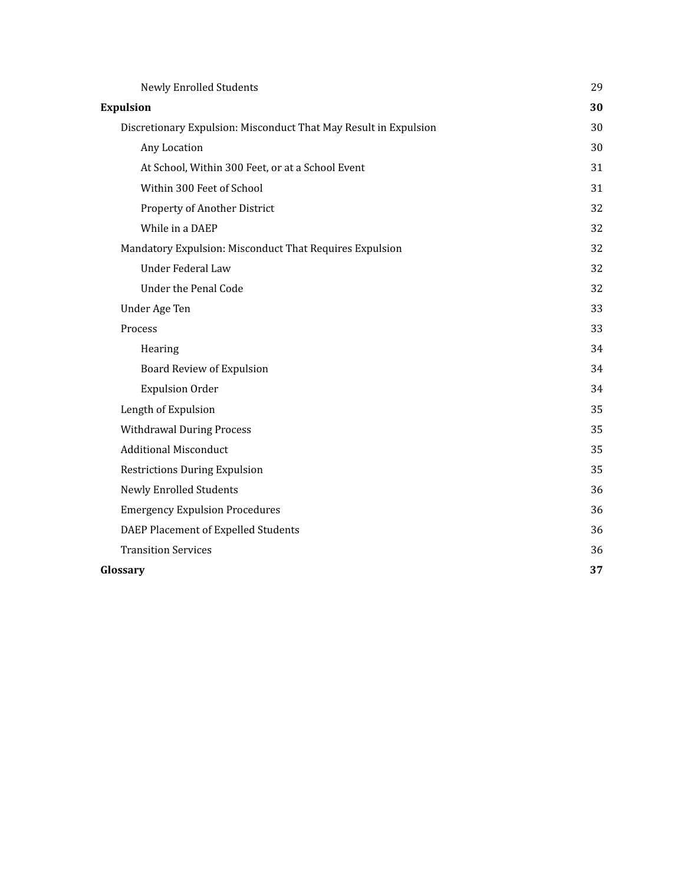| Newly Enrolled Students                                          | 29 |
|------------------------------------------------------------------|----|
| <b>Expulsion</b>                                                 | 30 |
| Discretionary Expulsion: Misconduct That May Result in Expulsion | 30 |
| Any Location                                                     | 30 |
| At School, Within 300 Feet, or at a School Event                 | 31 |
| Within 300 Feet of School                                        | 31 |
| Property of Another District                                     | 32 |
| While in a DAEP                                                  | 32 |
| Mandatory Expulsion: Misconduct That Requires Expulsion          | 32 |
| Under Federal Law                                                | 32 |
| Under the Penal Code                                             | 32 |
| Under Age Ten                                                    | 33 |
| Process                                                          | 33 |
| Hearing                                                          | 34 |
| Board Review of Expulsion                                        | 34 |
| <b>Expulsion Order</b>                                           | 34 |
| Length of Expulsion                                              | 35 |
| <b>Withdrawal During Process</b>                                 | 35 |
| <b>Additional Misconduct</b>                                     | 35 |
| <b>Restrictions During Expulsion</b>                             | 35 |
| <b>Newly Enrolled Students</b>                                   | 36 |
| <b>Emergency Expulsion Procedures</b>                            | 36 |
| DAEP Placement of Expelled Students                              | 36 |
| <b>Transition Services</b>                                       | 36 |
| Glossary                                                         | 37 |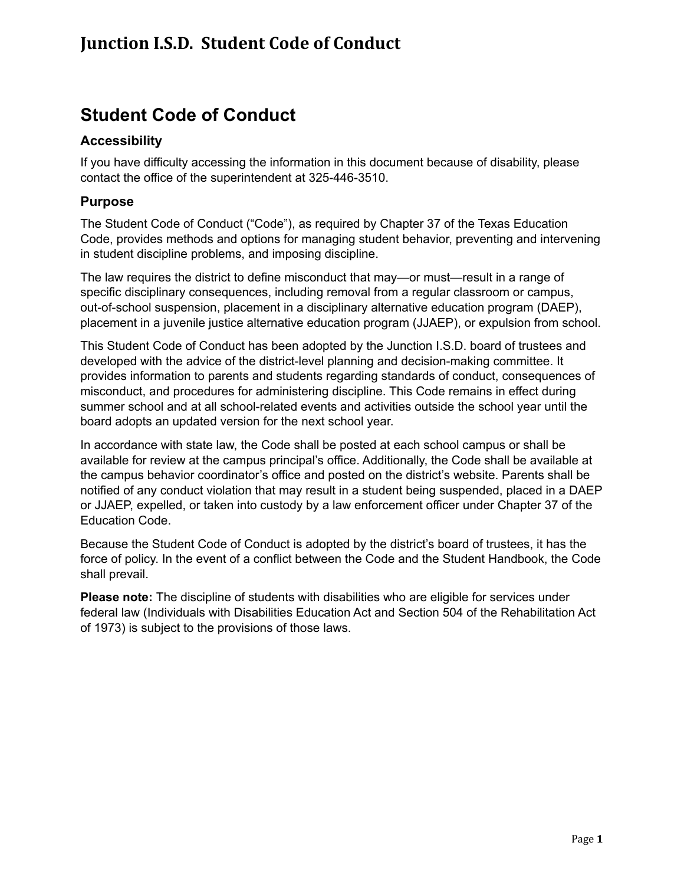# **Junction I.S.D. Student Code of Conduct**

# <span id="page-5-0"></span>**Student Code of Conduct**

# <span id="page-5-1"></span>**Accessibility**

If you have difficulty accessing the information in this document because of disability, please contact the office of the superintendent at 325-446-3510.

# <span id="page-5-2"></span>**Purpose**

The Student Code of Conduct ("Code"), as required by Chapter 37 of the Texas Education Code, provides methods and options for managing student behavior, preventing and intervening in student discipline problems, and imposing discipline.

The law requires the district to define misconduct that may—or must—result in a range of specific disciplinary consequences, including removal from a regular classroom or campus, out-of-school suspension, placement in a disciplinary alternative education program (DAEP), placement in a juvenile justice alternative education program (JJAEP), or expulsion from school.

This Student Code of Conduct has been adopted by the Junction I.S.D. board of trustees and developed with the advice of the district-level planning and decision-making committee. It provides information to parents and students regarding standards of conduct, consequences of misconduct, and procedures for administering discipline. This Code remains in effect during summer school and at all school-related events and activities outside the school year until the board adopts an updated version for the next school year.

In accordance with state law, the Code shall be posted at each school campus or shall be available for review at the campus principal's office. Additionally, the Code shall be available at the campus behavior coordinator's office and posted on the district's website. Parents shall be notified of any conduct violation that may result in a student being suspended, placed in a DAEP or JJAEP, expelled, or taken into custody by a law enforcement officer under Chapter 37 of the Education Code.

Because the Student Code of Conduct is adopted by the district's board of trustees, it has the force of policy. In the event of a conflict between the Code and the Student Handbook, the Code shall prevail.

**Please note:** The discipline of students with disabilities who are eligible for services under federal law (Individuals with Disabilities Education Act and Section 504 of the Rehabilitation Act of 1973) is subject to the provisions of those laws.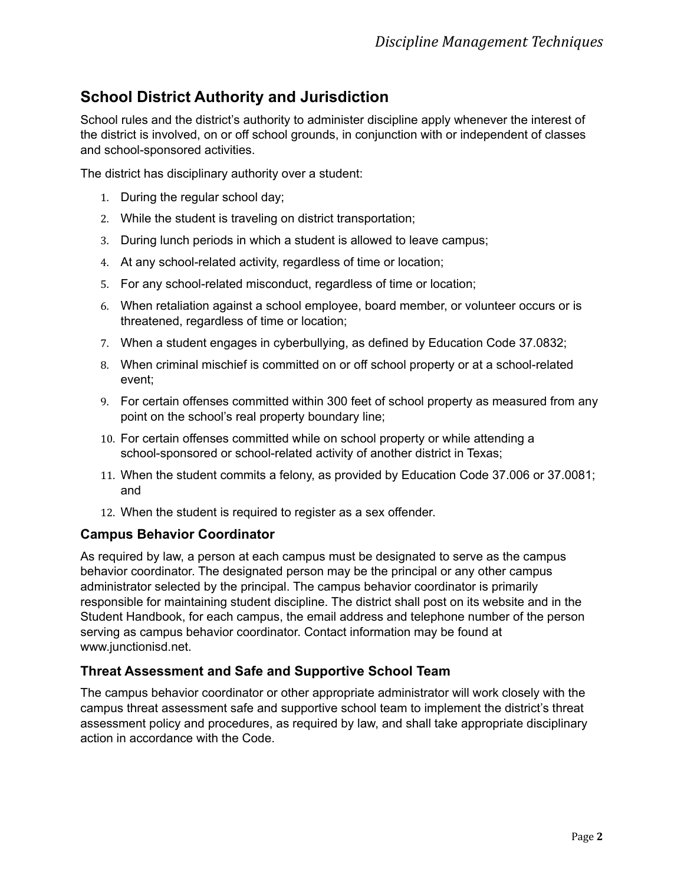# <span id="page-6-0"></span>**School District Authority and Jurisdiction**

School rules and the district's authority to administer discipline apply whenever the interest of the district is involved, on or off school grounds, in conjunction with or independent of classes and school-sponsored activities.

The district has disciplinary authority over a student:

- 1. During the regular school day;
- 2. While the student is traveling on district transportation;
- 3. During lunch periods in which a student is allowed to leave campus;
- 4. At any school-related activity, regardless of time or location;
- 5. For any school-related misconduct, regardless of time or location;
- 6. When retaliation against a school employee, board member, or volunteer occurs or is threatened, regardless of time or location;
- 7. When a student engages in cyberbullying, as defined by Education Code 37.0832;
- 8. When criminal mischief is committed on or off school property or at a school-related event;
- 9. For certain offenses committed within 300 feet of school property as measured from any point on the school's real property boundary line;
- 10. For certain offenses committed while on school property or while attending a school-sponsored or school-related activity of another district in Texas;
- 11. When the student commits a felony, as provided by Education Code 37.006 or 37.0081; and
- 12. When the student is required to register as a sex offender.

# <span id="page-6-1"></span>**Campus Behavior Coordinator**

As required by law, a person at each campus must be designated to serve as the campus behavior coordinator. The designated person may be the principal or any other campus administrator selected by the principal. The campus behavior coordinator is primarily responsible for maintaining student discipline. The district shall post on its website and in the Student Handbook, for each campus, the email address and telephone number of the person serving as campus behavior coordinator. Contact information may be found at www.junctionisd.net.

# <span id="page-6-2"></span>**Threat Assessment and Safe and Supportive School Team**

The campus behavior coordinator or other appropriate administrator will work closely with the campus threat assessment safe and supportive school team to implement the district's threat assessment policy and procedures, as required by law, and shall take appropriate disciplinary action in accordance with the Code.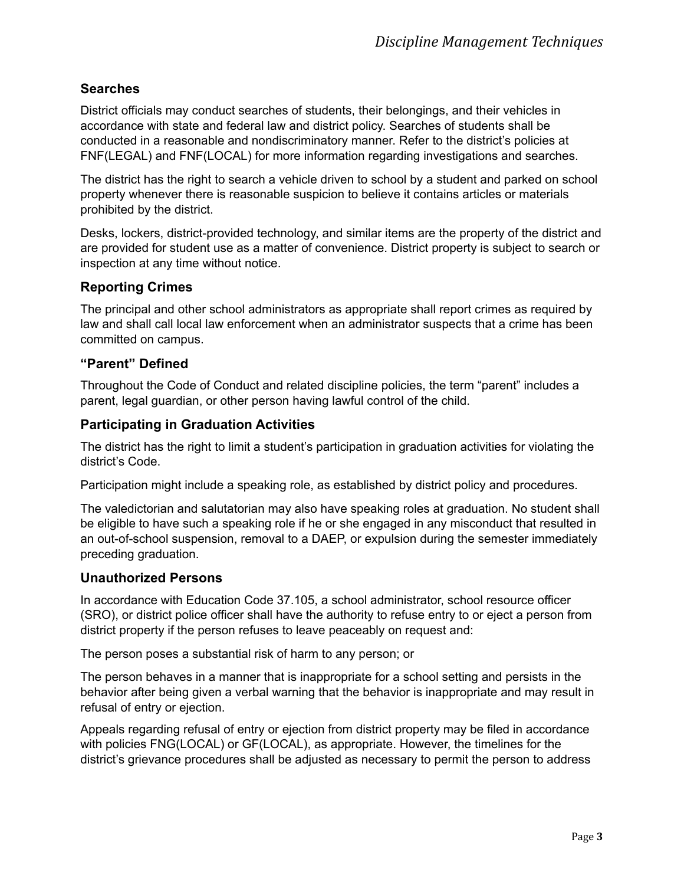# <span id="page-7-0"></span>**Searches**

District officials may conduct searches of students, their belongings, and their vehicles in accordance with state and federal law and district policy. Searches of students shall be conducted in a reasonable and nondiscriminatory manner. Refer to the district's policies at FNF(LEGAL) and FNF(LOCAL) for more information regarding investigations and searches.

The district has the right to search a vehicle driven to school by a student and parked on school property whenever there is reasonable suspicion to believe it contains articles or materials prohibited by the district.

Desks, lockers, district-provided technology, and similar items are the property of the district and are provided for student use as a matter of convenience. District property is subject to search or inspection at any time without notice.

# <span id="page-7-1"></span>**Reporting Crimes**

The principal and other school administrators as appropriate shall report crimes as required by law and shall call local law enforcement when an administrator suspects that a crime has been committed on campus.

# <span id="page-7-2"></span>**"Parent" Defined**

Throughout the Code of Conduct and related discipline policies, the term "parent" includes a parent, legal guardian, or other person having lawful control of the child.

# <span id="page-7-3"></span>**Participating in Graduation Activities**

The district has the right to limit a student's participation in graduation activities for violating the district's Code.

Participation might include a speaking role, as established by district policy and procedures.

The valedictorian and salutatorian may also have speaking roles at graduation. No student shall be eligible to have such a speaking role if he or she engaged in any misconduct that resulted in an out-of-school suspension, removal to a DAEP, or expulsion during the semester immediately preceding graduation.

# <span id="page-7-4"></span>**Unauthorized Persons**

In accordance with Education Code 37.105, a school administrator, school resource officer (SRO), or district police officer shall have the authority to refuse entry to or eject a person from district property if the person refuses to leave peaceably on request and:

The person poses a substantial risk of harm to any person; or

The person behaves in a manner that is inappropriate for a school setting and persists in the behavior after being given a verbal warning that the behavior is inappropriate and may result in refusal of entry or ejection.

Appeals regarding refusal of entry or ejection from district property may be filed in accordance with policies FNG(LOCAL) or GF(LOCAL), as appropriate. However, the timelines for the district's grievance procedures shall be adjusted as necessary to permit the person to address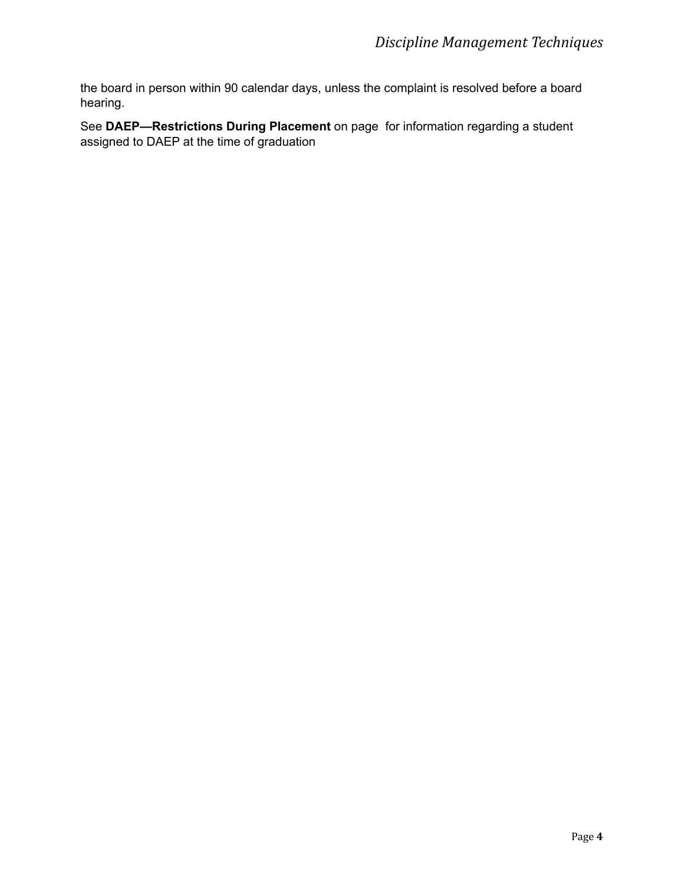the board in person within 90 calendar days, unless the complaint is resolved before a board hearing.

See **DAEP—Restrictions During Placement** on page for information regarding a student assigned to DAEP at the time of graduation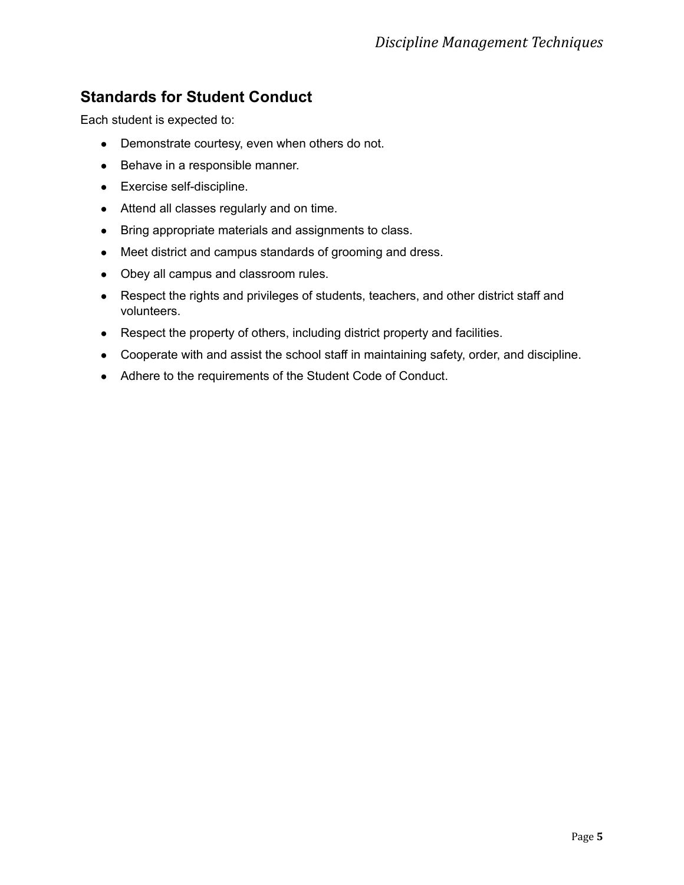# <span id="page-9-0"></span>**Standards for Student Conduct**

Each student is expected to:

- Demonstrate courtesy, even when others do not.
- Behave in a responsible manner.
- Exercise self-discipline.
- Attend all classes regularly and on time.
- Bring appropriate materials and assignments to class.
- Meet district and campus standards of grooming and dress.
- Obey all campus and classroom rules.
- Respect the rights and privileges of students, teachers, and other district staff and volunteers.
- Respect the property of others, including district property and facilities.
- Cooperate with and assist the school staff in maintaining safety, order, and discipline.
- Adhere to the requirements of the Student Code of Conduct.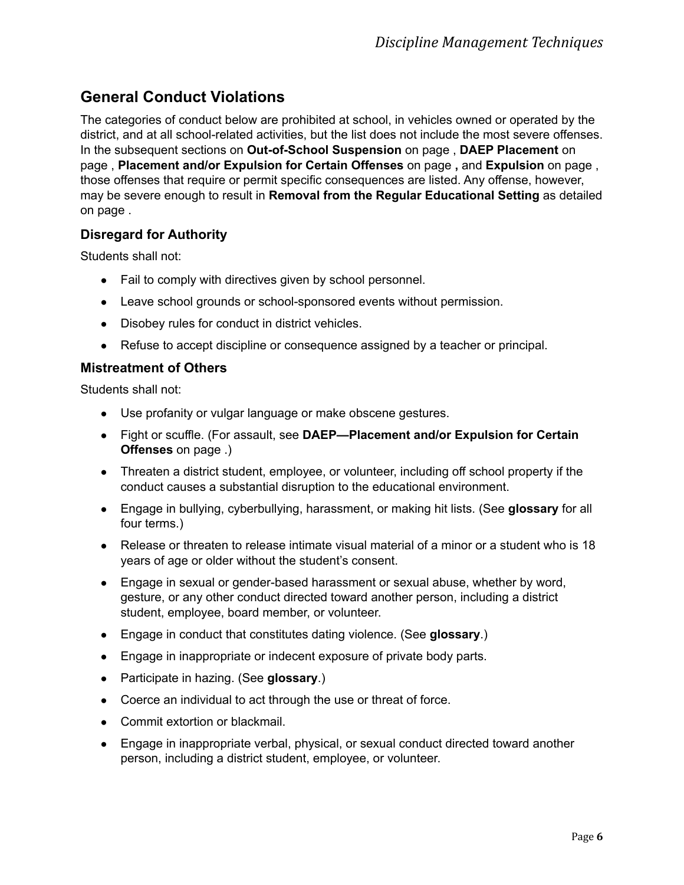# <span id="page-10-0"></span>**General Conduct Violations**

The categories of conduct below are prohibited at school, in vehicles owned or operated by the district, and at all school-related activities, but the list does not include the most severe offenses. In the subsequent sections on **Out-of-School Suspension** on page , **DAEP Placement** on page , **Placement and/or Expulsion for Certain Offenses** on page **,** and **Expulsion** on page , those offenses that require or permit specific consequences are listed. Any offense, however, may be severe enough to result in **Removal from the Regular Educational Setting** as detailed on page .

# <span id="page-10-1"></span>**Disregard for Authority**

Students shall not:

- Fail to comply with directives given by school personnel.
- Leave school grounds or school-sponsored events without permission.
- Disobey rules for conduct in district vehicles.
- Refuse to accept discipline or consequence assigned by a teacher or principal.

#### <span id="page-10-2"></span>**Mistreatment of Others**

Students shall not:

- Use profanity or vulgar language or make obscene gestures.
- Fight or scuffle. (For assault, see **DAEP—Placement and/or Expulsion for Certain Offenses** on page .)
- Threaten a district student, employee, or volunteer, including off school property if the conduct causes a substantial disruption to the educational environment.
- Engage in bullying, cyberbullying, harassment, or making hit lists. (See **glossary** for all four terms.)
- Release or threaten to release intimate visual material of a minor or a student who is 18 years of age or older without the student's consent.
- Engage in sexual or gender-based harassment or sexual abuse, whether by word, gesture, or any other conduct directed toward another person, including a district student, employee, board member, or volunteer.
- Engage in conduct that constitutes dating violence. (See **glossary**.)
- Engage in inappropriate or indecent exposure of private body parts.
- Participate in hazing. (See **glossary**.)
- Coerce an individual to act through the use or threat of force.
- Commit extortion or blackmail.
- Engage in inappropriate verbal, physical, or sexual conduct directed toward another person, including a district student, employee, or volunteer.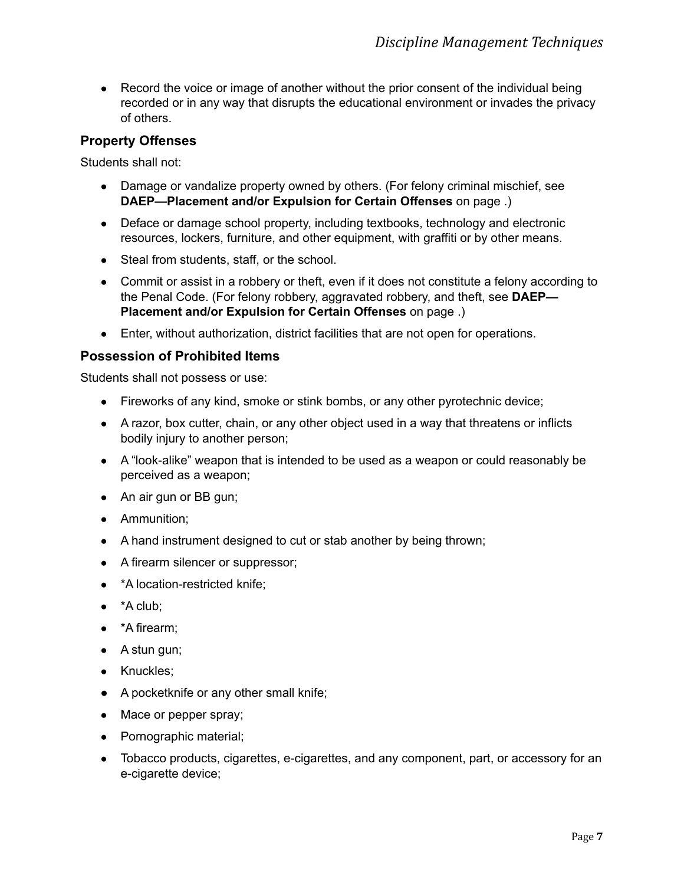• Record the voice or image of another without the prior consent of the individual being recorded or in any way that disrupts the educational environment or invades the privacy of others.

# <span id="page-11-0"></span>**Property Offenses**

Students shall not:

- Damage or vandalize property owned by others. (For felony criminal mischief, see **DAEP—Placement and/or Expulsion for Certain Offenses** on page .)
- Deface or damage school property, including textbooks, technology and electronic resources, lockers, furniture, and other equipment, with graffiti or by other means.
- Steal from students, staff, or the school.
- Commit or assist in a robbery or theft, even if it does not constitute a felony according to the Penal Code. (For felony robbery, aggravated robbery, and theft, see **DAEP— Placement and/or Expulsion for Certain Offenses** on page .)
- Enter, without authorization, district facilities that are not open for operations.

#### <span id="page-11-1"></span>**Possession of Prohibited Items**

Students shall not possess or use:

- Fireworks of any kind, smoke or stink bombs, or any other pyrotechnic device;
- A razor, box cutter, chain, or any other object used in a way that threatens or inflicts bodily injury to another person;
- A "look-alike" weapon that is intended to be used as a weapon or could reasonably be perceived as a weapon;
- An air gun or BB gun;
- Ammunition:
- A hand instrument designed to cut or stab another by being thrown;
- A firearm silencer or suppressor;
- \*A location-restricted knife;
- $\bullet$  \*A club;
- \*A firearm;
- $\bullet$  A stun gun;
- Knuckles:
- A pocketknife or any other small knife;
- Mace or pepper spray;
- Pornographic material;
- Tobacco products, cigarettes, e-cigarettes, and any component, part, or accessory for an e-cigarette device;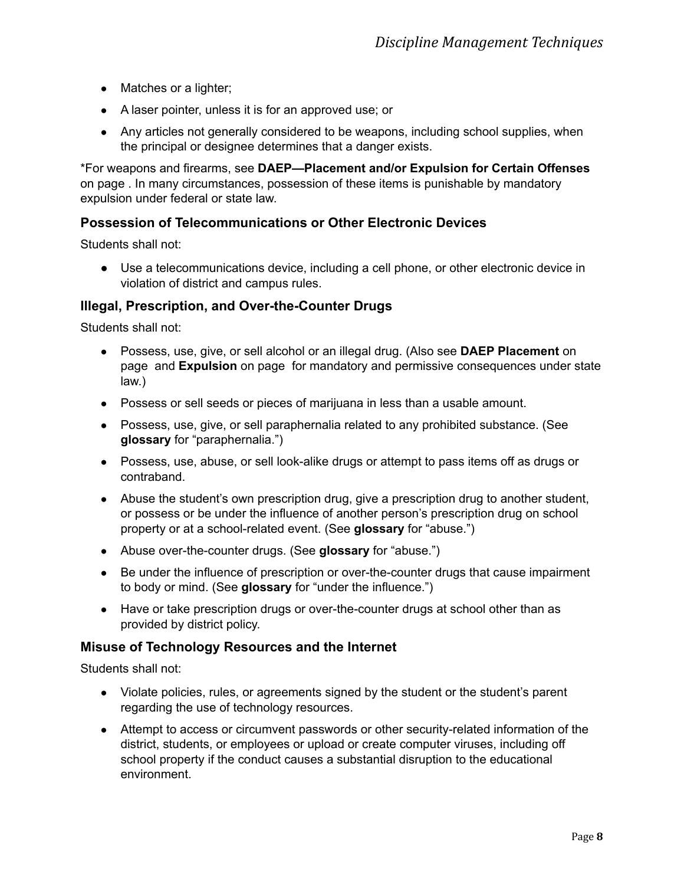- Matches or a lighter;
- A laser pointer, unless it is for an approved use; or
- Any articles not generally considered to be weapons, including school supplies, when the principal or designee determines that a danger exists.

\*For weapons and firearms, see **DAEP—Placement and/or Expulsion for Certain Offenses** on page . In many circumstances, possession of these items is punishable by mandatory expulsion under federal or state law.

#### <span id="page-12-0"></span>**Possession of Telecommunications or Other Electronic Devices**

Students shall not:

● Use a telecommunications device, including a cell phone, or other electronic device in violation of district and campus rules.

#### <span id="page-12-1"></span>**Illegal, Prescription, and Over-the-Counter Drugs**

Students shall not:

- Possess, use, give, or sell alcohol or an illegal drug. (Also see **DAEP Placement** on page and **Expulsion** on page for mandatory and permissive consequences under state law.)
- Possess or sell seeds or pieces of marijuana in less than a usable amount.
- Possess, use, give, or sell paraphernalia related to any prohibited substance. (See **glossary** for "paraphernalia.")
- Possess, use, abuse, or sell look-alike drugs or attempt to pass items off as drugs or contraband.
- Abuse the student's own prescription drug, give a prescription drug to another student, or possess or be under the influence of another person's prescription drug on school property or at a school-related event. (See **glossary** for "abuse.")
- Abuse over-the-counter drugs. (See **glossary** for "abuse.")
- Be under the influence of prescription or over-the-counter drugs that cause impairment to body or mind. (See **glossary** for "under the influence.")
- Have or take prescription drugs or over-the-counter drugs at school other than as provided by district policy.

#### <span id="page-12-2"></span>**Misuse of Technology Resources and the Internet**

Students shall not:

- Violate policies, rules, or agreements signed by the student or the student's parent regarding the use of technology resources.
- Attempt to access or circumvent passwords or other security-related information of the district, students, or employees or upload or create computer viruses, including off school property if the conduct causes a substantial disruption to the educational environment.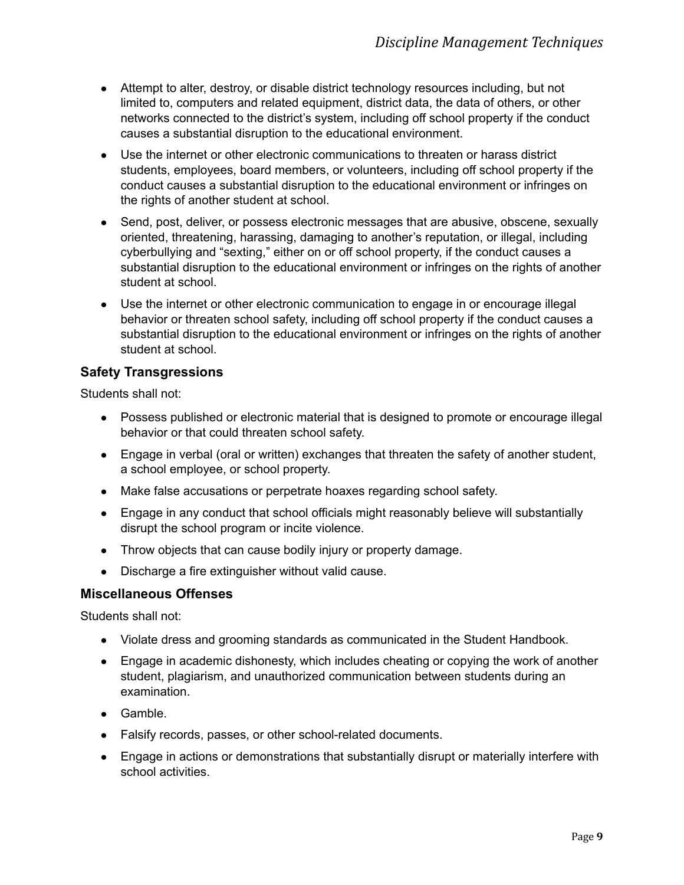- Attempt to alter, destroy, or disable district technology resources including, but not limited to, computers and related equipment, district data, the data of others, or other networks connected to the district's system, including off school property if the conduct causes a substantial disruption to the educational environment.
- Use the internet or other electronic communications to threaten or harass district students, employees, board members, or volunteers, including off school property if the conduct causes a substantial disruption to the educational environment or infringes on the rights of another student at school.
- Send, post, deliver, or possess electronic messages that are abusive, obscene, sexually oriented, threatening, harassing, damaging to another's reputation, or illegal, including cyberbullying and "sexting," either on or off school property, if the conduct causes a substantial disruption to the educational environment or infringes on the rights of another student at school.
- Use the internet or other electronic communication to engage in or encourage illegal behavior or threaten school safety, including off school property if the conduct causes a substantial disruption to the educational environment or infringes on the rights of another student at school.

# <span id="page-13-0"></span>**Safety Transgressions**

Students shall not:

- Possess published or electronic material that is designed to promote or encourage illegal behavior or that could threaten school safety.
- Engage in verbal (oral or written) exchanges that threaten the safety of another student, a school employee, or school property.
- Make false accusations or perpetrate hoaxes regarding school safety.
- Engage in any conduct that school officials might reasonably believe will substantially disrupt the school program or incite violence.
- Throw objects that can cause bodily injury or property damage.
- Discharge a fire extinguisher without valid cause.

# <span id="page-13-1"></span>**Miscellaneous Offenses**

Students shall not:

- Violate dress and grooming standards as communicated in the Student Handbook.
- Engage in academic dishonesty, which includes cheating or copying the work of another student, plagiarism, and unauthorized communication between students during an examination.
- Gamble.
- Falsify records, passes, or other school-related documents.
- Engage in actions or demonstrations that substantially disrupt or materially interfere with school activities.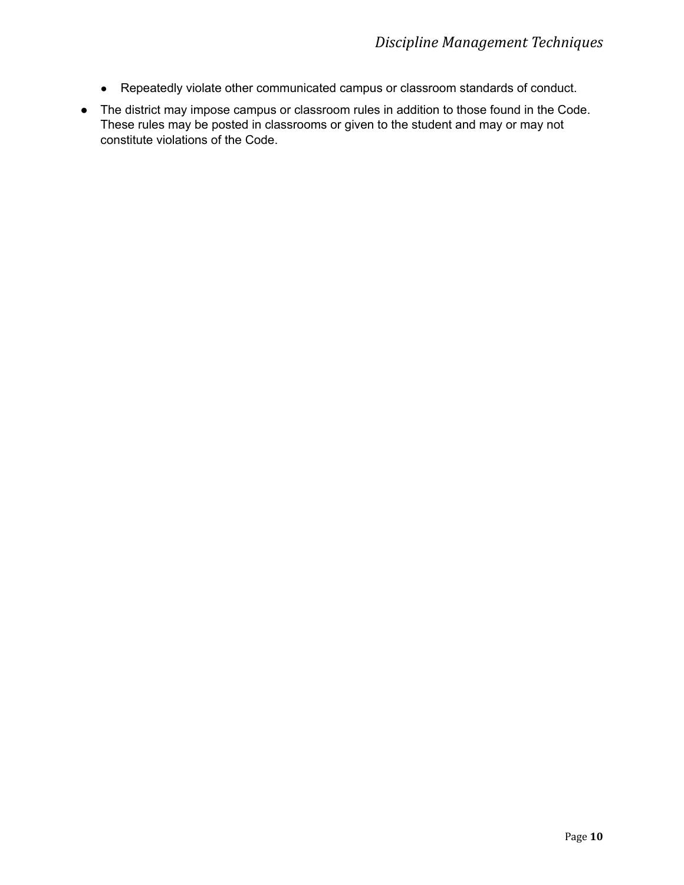- Repeatedly violate other communicated campus or classroom standards of conduct.
- The district may impose campus or classroom rules in addition to those found in the Code. These rules may be posted in classrooms or given to the student and may or may not constitute violations of the Code.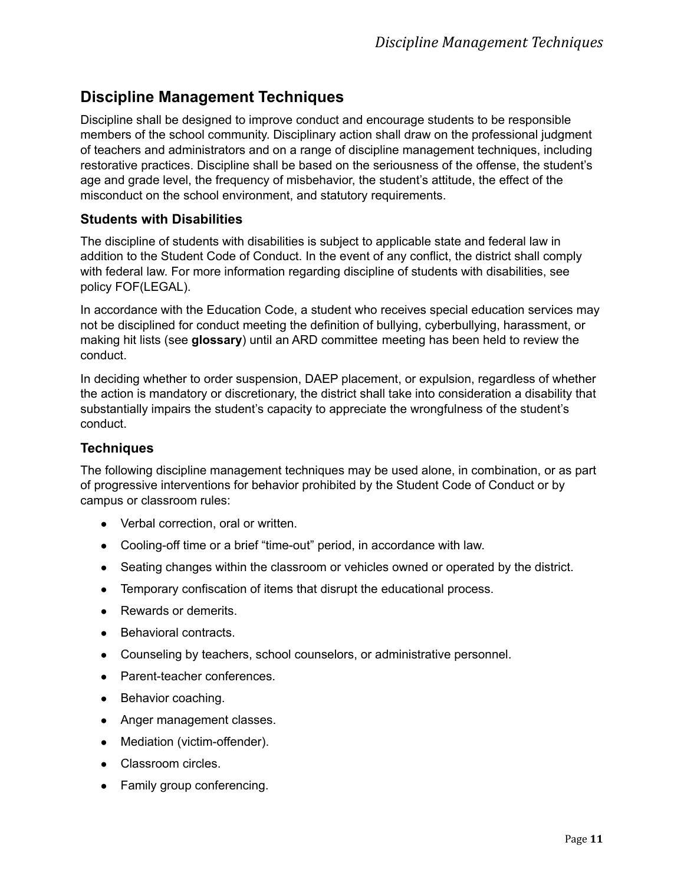# <span id="page-15-0"></span>**Discipline Management Techniques**

Discipline shall be designed to improve conduct and encourage students to be responsible members of the school community. Disciplinary action shall draw on the professional judgment of teachers and administrators and on a range of discipline management techniques, including restorative practices. Discipline shall be based on the seriousness of the offense, the student's age and grade level, the frequency of misbehavior, the student's attitude, the effect of the misconduct on the school environment, and statutory requirements.

#### <span id="page-15-1"></span>**Students with Disabilities**

The discipline of students with disabilities is subject to applicable state and federal law in addition to the Student Code of Conduct. In the event of any conflict, the district shall comply with federal law. For more information regarding discipline of students with disabilities, see policy FOF(LEGAL).

In accordance with the Education Code, a student who receives special education services may not be disciplined for conduct meeting the definition of bullying, cyberbullying, harassment, or making hit lists (see **glossary**) until an ARD committee meeting has been held to review the conduct.

In deciding whether to order suspension, DAEP placement, or expulsion, regardless of whether the action is mandatory or discretionary, the district shall take into consideration a disability that substantially impairs the student's capacity to appreciate the wrongfulness of the student's conduct.

#### <span id="page-15-2"></span>**Techniques**

The following discipline management techniques may be used alone, in combination, or as part of progressive interventions for behavior prohibited by the Student Code of Conduct or by campus or classroom rules:

- Verbal correction, oral or written.
- Cooling-off time or a brief "time-out" period, in accordance with law.
- Seating changes within the classroom or vehicles owned or operated by the district.
- Temporary confiscation of items that disrupt the educational process.
- Rewards or demerits.
- Behavioral contracts.
- Counseling by teachers, school counselors, or administrative personnel.
- Parent-teacher conferences.
- Behavior coaching.
- Anger management classes.
- Mediation (victim-offender).
- Classroom circles.
- Family group conferencing.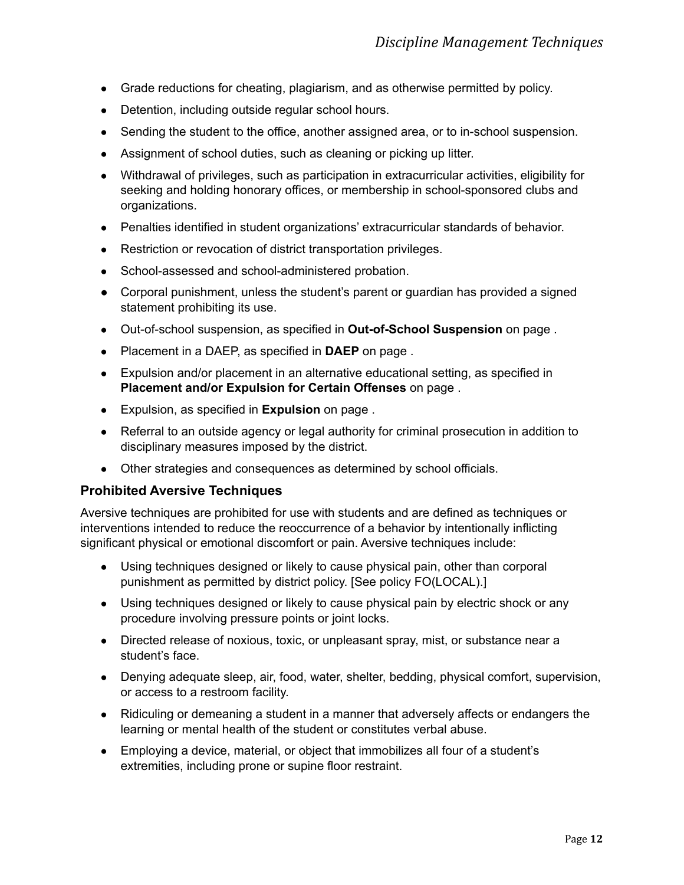- Grade reductions for cheating, plagiarism, and as otherwise permitted by policy.
- Detention, including outside regular school hours.
- Sending the student to the office, another assigned area, or to in-school suspension.
- Assignment of school duties, such as cleaning or picking up litter.
- Withdrawal of privileges, such as participation in extracurricular activities, eligibility for seeking and holding honorary offices, or membership in school-sponsored clubs and organizations.
- Penalties identified in student organizations' extracurricular standards of behavior.
- Restriction or revocation of district transportation privileges.
- School-assessed and school-administered probation.
- Corporal punishment, unless the student's parent or quardian has provided a signed statement prohibiting its use.
- Out-of-school suspension, as specified in **Out-of-School Suspension** on page .
- Placement in a DAEP, as specified in **DAEP** on page .
- Expulsion and/or placement in an alternative educational setting, as specified in **Placement and/or Expulsion for Certain Offenses** on page .
- Expulsion, as specified in **Expulsion** on page .
- Referral to an outside agency or legal authority for criminal prosecution in addition to disciplinary measures imposed by the district.
- Other strategies and consequences as determined by school officials.

# <span id="page-16-0"></span>**Prohibited Aversive Techniques**

Aversive techniques are prohibited for use with students and are defined as techniques or interventions intended to reduce the reoccurrence of a behavior by intentionally inflicting significant physical or emotional discomfort or pain. Aversive techniques include:

- Using techniques designed or likely to cause physical pain, other than corporal punishment as permitted by district policy. [See policy FO(LOCAL).]
- Using techniques designed or likely to cause physical pain by electric shock or any procedure involving pressure points or joint locks.
- Directed release of noxious, toxic, or unpleasant spray, mist, or substance near a student's face.
- Denying adequate sleep, air, food, water, shelter, bedding, physical comfort, supervision, or access to a restroom facility.
- Ridiculing or demeaning a student in a manner that adversely affects or endangers the learning or mental health of the student or constitutes verbal abuse.
- Employing a device, material, or object that immobilizes all four of a student's extremities, including prone or supine floor restraint.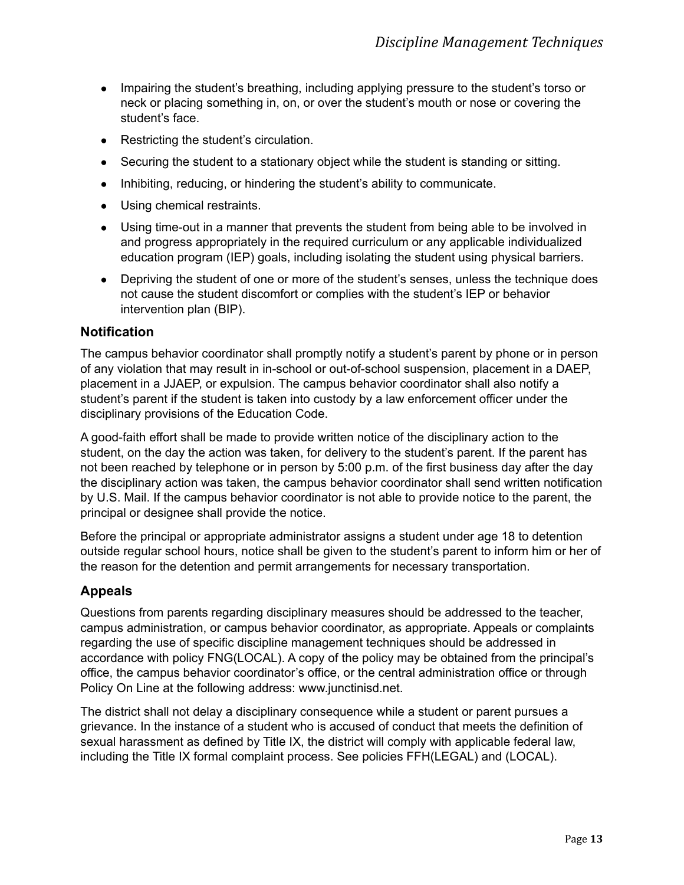- Impairing the student's breathing, including applying pressure to the student's torso or neck or placing something in, on, or over the student's mouth or nose or covering the student's face.
- Restricting the student's circulation.
- Securing the student to a stationary object while the student is standing or sitting.
- Inhibiting, reducing, or hindering the student's ability to communicate.
- Using chemical restraints.
- Using time-out in a manner that prevents the student from being able to be involved in and progress appropriately in the required curriculum or any applicable individualized education program (IEP) goals, including isolating the student using physical barriers.
- Depriving the student of one or more of the student's senses, unless the technique does not cause the student discomfort or complies with the student's IEP or behavior intervention plan (BIP).

# <span id="page-17-0"></span>**Notification**

The campus behavior coordinator shall promptly notify a student's parent by phone or in person of any violation that may result in in-school or out-of-school suspension, placement in a DAEP, placement in a JJAEP, or expulsion. The campus behavior coordinator shall also notify a student's parent if the student is taken into custody by a law enforcement officer under the disciplinary provisions of the Education Code.

A good-faith effort shall be made to provide written notice of the disciplinary action to the student, on the day the action was taken, for delivery to the student's parent. If the parent has not been reached by telephone or in person by 5:00 p.m. of the first business day after the day the disciplinary action was taken, the campus behavior coordinator shall send written notification by U.S. Mail. If the campus behavior coordinator is not able to provide notice to the parent, the principal or designee shall provide the notice.

Before the principal or appropriate administrator assigns a student under age 18 to detention outside regular school hours, notice shall be given to the student's parent to inform him or her of the reason for the detention and permit arrangements for necessary transportation.

# <span id="page-17-1"></span>**Appeals**

Questions from parents regarding disciplinary measures should be addressed to the teacher, campus administration, or campus behavior coordinator, as appropriate. Appeals or complaints regarding the use of specific discipline management techniques should be addressed in accordance with policy FNG(LOCAL). A copy of the policy may be obtained from the principal's office, the campus behavior coordinator's office, or the central administration office or through Policy On Line at the following address: www.junctinisd.net.

The district shall not delay a disciplinary consequence while a student or parent pursues a grievance. In the instance of a student who is accused of conduct that meets the definition of sexual harassment as defined by Title IX, the district will comply with applicable federal law, including the Title IX formal complaint process. See policies FFH(LEGAL) and (LOCAL).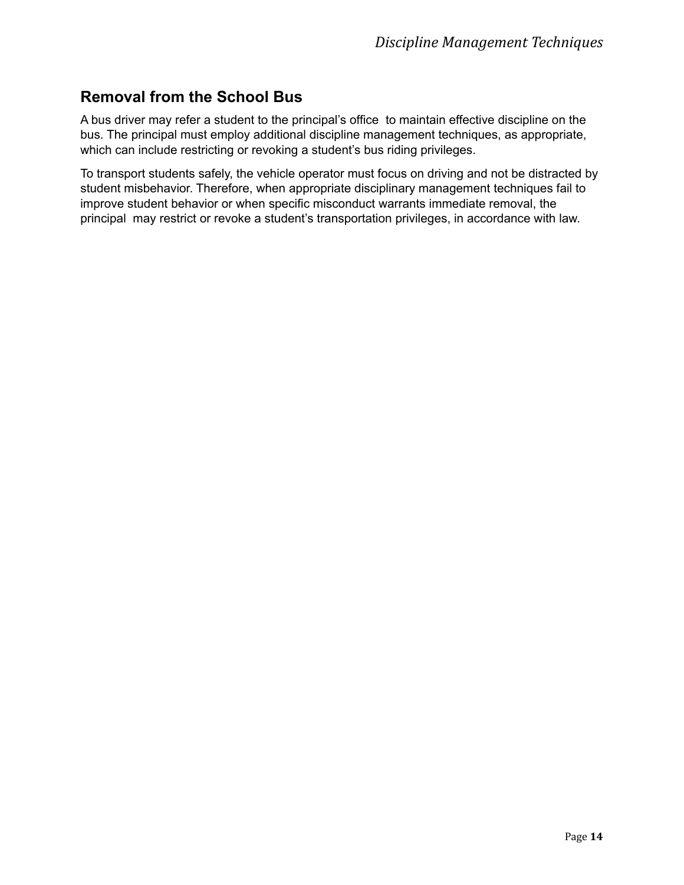# <span id="page-18-0"></span>**Removal from the School Bus**

A bus driver may refer a student to the principal's office to maintain effective discipline on the bus. The principal must employ additional discipline management techniques, as appropriate, which can include restricting or revoking a student's bus riding privileges.

To transport students safely, the vehicle operator must focus on driving and not be distracted by student misbehavior. Therefore, when appropriate disciplinary management techniques fail to improve student behavior or when specific misconduct warrants immediate removal, the principal may restrict or revoke a student's transportation privileges, in accordance with law.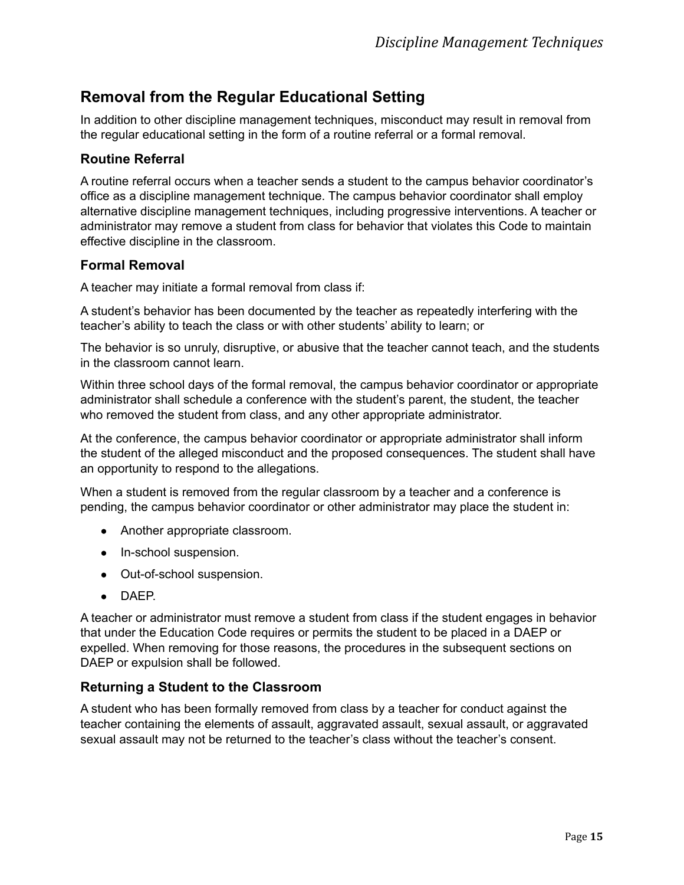# <span id="page-19-0"></span>**Removal from the Regular Educational Setting**

In addition to other discipline management techniques, misconduct may result in removal from the regular educational setting in the form of a routine referral or a formal removal.

# <span id="page-19-1"></span>**Routine Referral**

A routine referral occurs when a teacher sends a student to the campus behavior coordinator's office as a discipline management technique. The campus behavior coordinator shall employ alternative discipline management techniques, including progressive interventions. A teacher or administrator may remove a student from class for behavior that violates this Code to maintain effective discipline in the classroom.

#### <span id="page-19-2"></span>**Formal Removal**

A teacher may initiate a formal removal from class if:

A student's behavior has been documented by the teacher as repeatedly interfering with the teacher's ability to teach the class or with other students' ability to learn; or

The behavior is so unruly, disruptive, or abusive that the teacher cannot teach, and the students in the classroom cannot learn.

Within three school days of the formal removal, the campus behavior coordinator or appropriate administrator shall schedule a conference with the student's parent, the student, the teacher who removed the student from class, and any other appropriate administrator.

At the conference, the campus behavior coordinator or appropriate administrator shall inform the student of the alleged misconduct and the proposed consequences. The student shall have an opportunity to respond to the allegations.

When a student is removed from the regular classroom by a teacher and a conference is pending, the campus behavior coordinator or other administrator may place the student in:

- Another appropriate classroom.
- In-school suspension.
- Out-of-school suspension.
- DAEP.

A teacher or administrator must remove a student from class if the student engages in behavior that under the Education Code requires or permits the student to be placed in a DAEP or expelled. When removing for those reasons, the procedures in the subsequent sections on DAEP or expulsion shall be followed.

# <span id="page-19-3"></span>**Returning a Student to the Classroom**

A student who has been formally removed from class by a teacher for conduct against the teacher containing the elements of assault, aggravated assault, sexual assault, or aggravated sexual assault may not be returned to the teacher's class without the teacher's consent.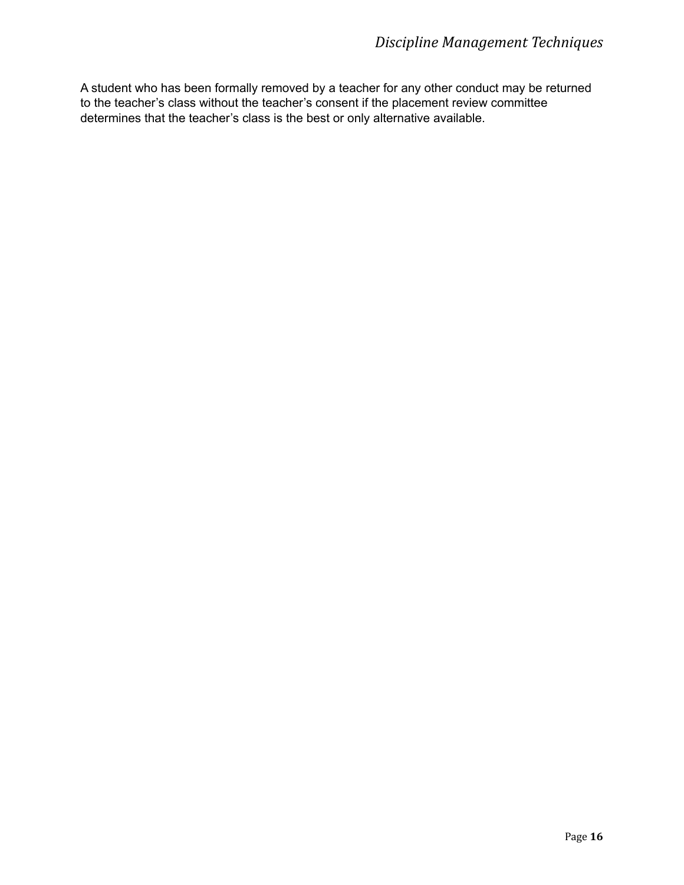A student who has been formally removed by a teacher for any other conduct may be returned to the teacher's class without the teacher's consent if the placement review committee determines that the teacher's class is the best or only alternative available.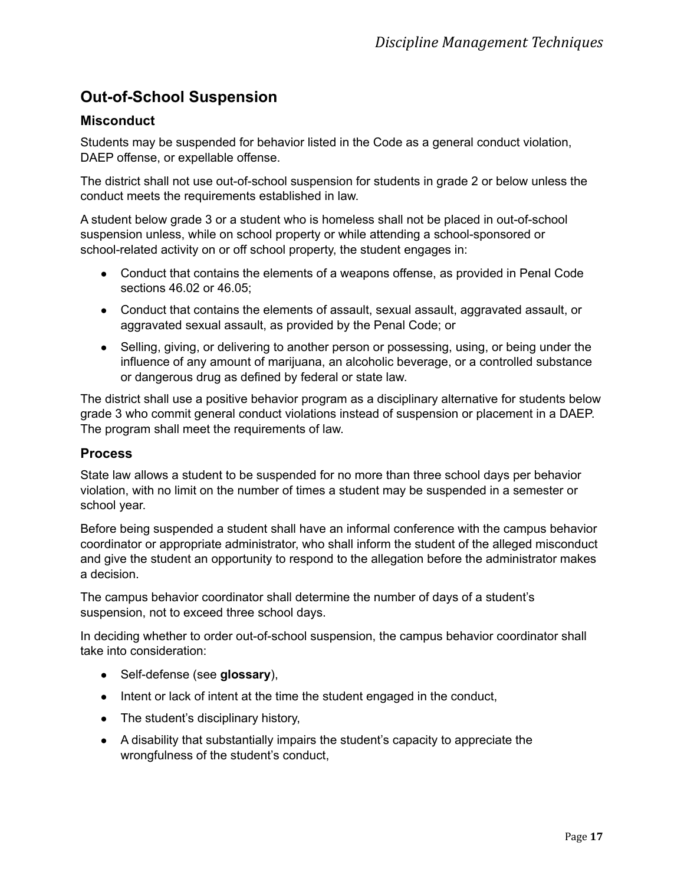# <span id="page-21-0"></span>**Out-of-School Suspension**

# <span id="page-21-1"></span>**Misconduct**

Students may be suspended for behavior listed in the Code as a general conduct violation, DAEP offense, or expellable offense.

The district shall not use out-of-school suspension for students in grade 2 or below unless the conduct meets the requirements established in law.

A student below grade 3 or a student who is homeless shall not be placed in out-of-school suspension unless, while on school property or while attending a school-sponsored or school-related activity on or off school property, the student engages in:

- Conduct that contains the elements of a weapons offense, as provided in Penal Code sections 46.02 or 46.05;
- Conduct that contains the elements of assault, sexual assault, aggravated assault, or aggravated sexual assault, as provided by the Penal Code; or
- Selling, giving, or delivering to another person or possessing, using, or being under the influence of any amount of marijuana, an alcoholic beverage, or a controlled substance or dangerous drug as defined by federal or state law.

The district shall use a positive behavior program as a disciplinary alternative for students below grade 3 who commit general conduct violations instead of suspension or placement in a DAEP. The program shall meet the requirements of law.

# <span id="page-21-2"></span>**Process**

State law allows a student to be suspended for no more than three school days per behavior violation, with no limit on the number of times a student may be suspended in a semester or school year.

Before being suspended a student shall have an informal conference with the campus behavior coordinator or appropriate administrator, who shall inform the student of the alleged misconduct and give the student an opportunity to respond to the allegation before the administrator makes a decision.

The campus behavior coordinator shall determine the number of days of a student's suspension, not to exceed three school days.

In deciding whether to order out-of-school suspension, the campus behavior coordinator shall take into consideration:

- Self-defense (see **glossary**),
- Intent or lack of intent at the time the student engaged in the conduct,
- The student's disciplinary history,
- A disability that substantially impairs the student's capacity to appreciate the wrongfulness of the student's conduct,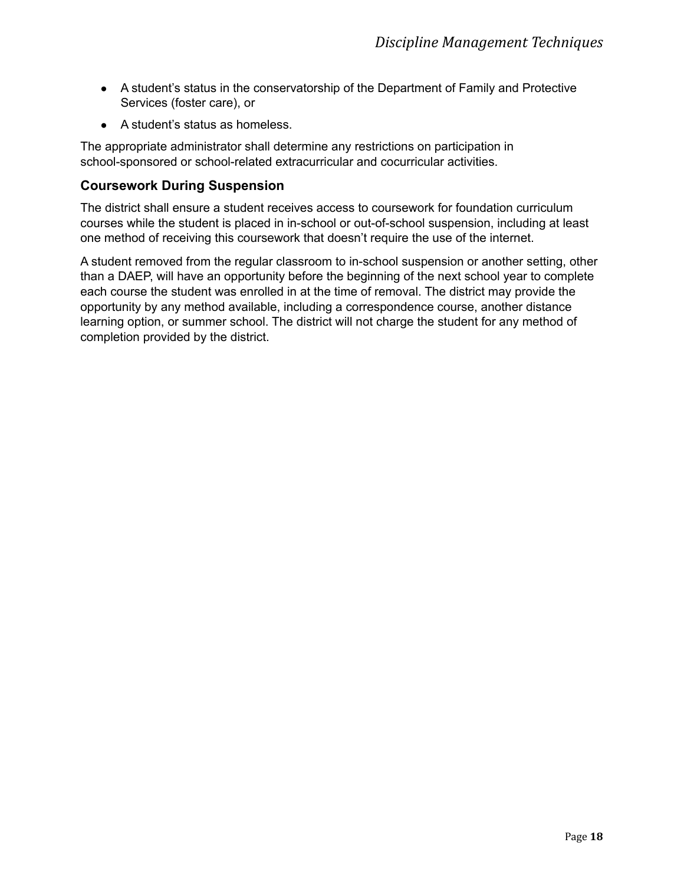- A student's status in the conservatorship of the Department of Family and Protective Services (foster care), or
- A student's status as homeless.

The appropriate administrator shall determine any restrictions on participation in school-sponsored or school-related extracurricular and cocurricular activities.

# <span id="page-22-0"></span>**Coursework During Suspension**

The district shall ensure a student receives access to coursework for foundation curriculum courses while the student is placed in in-school or out-of-school suspension, including at least one method of receiving this coursework that doesn't require the use of the internet.

A student removed from the regular classroom to in-school suspension or another setting, other than a DAEP, will have an opportunity before the beginning of the next school year to complete each course the student was enrolled in at the time of removal. The district may provide the opportunity by any method available, including a correspondence course, another distance learning option, or summer school. The district will not charge the student for any method of completion provided by the district.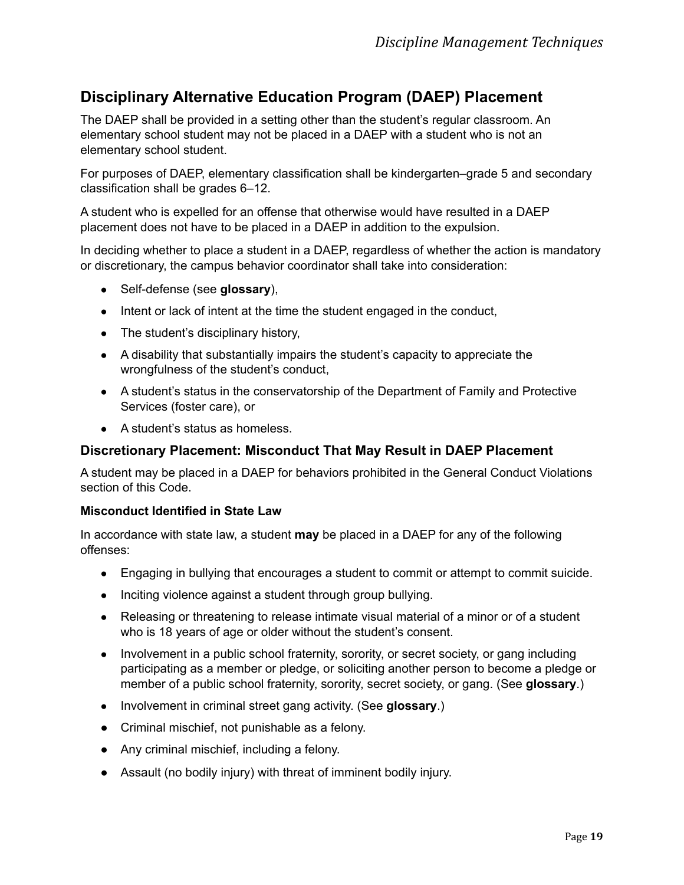# <span id="page-23-0"></span>**Disciplinary Alternative Education Program (DAEP) Placement**

The DAEP shall be provided in a setting other than the student's regular classroom. An elementary school student may not be placed in a DAEP with a student who is not an elementary school student.

For purposes of DAEP, elementary classification shall be kindergarten–grade 5 and secondary classification shall be grades 6–12.

A student who is expelled for an offense that otherwise would have resulted in a DAEP placement does not have to be placed in a DAEP in addition to the expulsion.

In deciding whether to place a student in a DAEP, regardless of whether the action is mandatory or discretionary, the campus behavior coordinator shall take into consideration:

- Self-defense (see **glossary**),
- Intent or lack of intent at the time the student engaged in the conduct,
- The student's disciplinary history,
- A disability that substantially impairs the student's capacity to appreciate the wrongfulness of the student's conduct,
- A student's status in the conservatorship of the Department of Family and Protective Services (foster care), or
- A student's status as homeless.

# <span id="page-23-1"></span>**Discretionary Placement: Misconduct That May Result in DAEP Placement**

A student may be placed in a DAEP for behaviors prohibited in the General Conduct Violations section of this Code.

#### **Misconduct Identified in State Law**

In accordance with state law, a student **may** be placed in a DAEP for any of the following offenses:

- Engaging in bullying that encourages a student to commit or attempt to commit suicide.
- Inciting violence against a student through group bullying.
- Releasing or threatening to release intimate visual material of a minor or of a student who is 18 years of age or older without the student's consent.
- Involvement in a public school fraternity, sorority, or secret society, or gang including participating as a member or pledge, or soliciting another person to become a pledge or member of a public school fraternity, sorority, secret society, or gang. (See **glossary**.)
- Involvement in criminal street gang activity. (See **glossary**.)
- Criminal mischief, not punishable as a felony.
- Any criminal mischief, including a felony.
- Assault (no bodily injury) with threat of imminent bodily injury.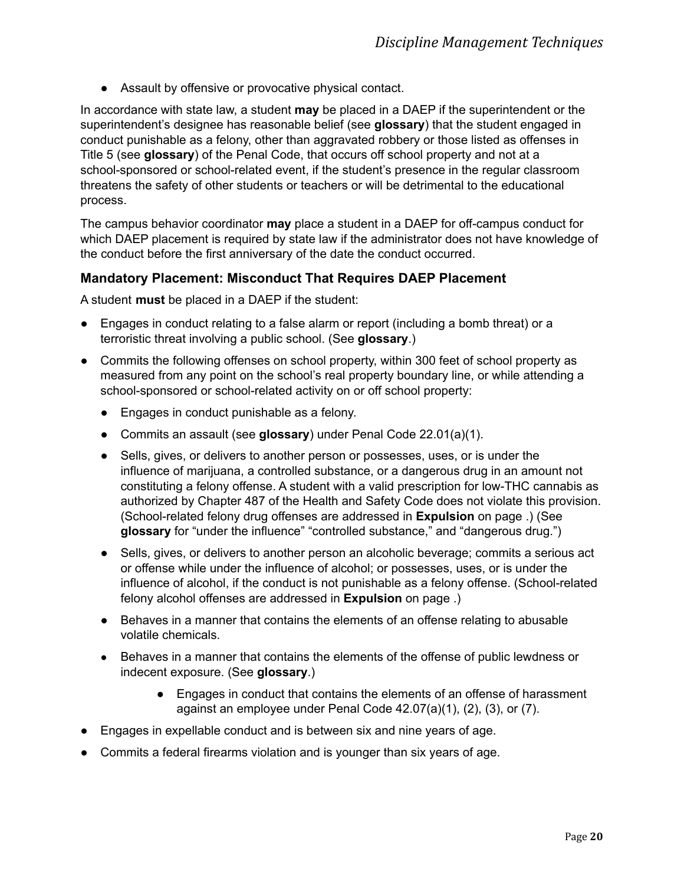● Assault by offensive or provocative physical contact.

In accordance with state law, a student **may** be placed in a DAEP if the superintendent or the superintendent's designee has reasonable belief (see **glossary**) that the student engaged in conduct punishable as a felony, other than aggravated robbery or those listed as offenses in Title 5 (see **glossary**) of the Penal Code, that occurs off school property and not at a school-sponsored or school-related event, if the student's presence in the regular classroom threatens the safety of other students or teachers or will be detrimental to the educational process.

The campus behavior coordinator **may** place a student in a DAEP for off-campus conduct for which DAEP placement is required by state law if the administrator does not have knowledge of the conduct before the first anniversary of the date the conduct occurred.

#### <span id="page-24-0"></span>**Mandatory Placement: Misconduct That Requires DAEP Placement**

A student **must** be placed in a DAEP if the student:

- Engages in conduct relating to a false alarm or report (including a bomb threat) or a terroristic threat involving a public school. (See **glossary**.)
- Commits the following offenses on school property, within 300 feet of school property as measured from any point on the school's real property boundary line, or while attending a school-sponsored or school-related activity on or off school property:
	- Engages in conduct punishable as a felony.
	- Commits an assault (see **glossary**) under Penal Code 22.01(a)(1).
	- Sells, gives, or delivers to another person or possesses, uses, or is under the influence of marijuana, a controlled substance, or a dangerous drug in an amount not constituting a felony offense. A student with a valid prescription for low-THC cannabis as authorized by Chapter 487 of the Health and Safety Code does not violate this provision. (School-related felony drug offenses are addressed in **Expulsion** on page .) (See **glossary** for "under the influence" "controlled substance," and "dangerous drug.")
	- Sells, gives, or delivers to another person an alcoholic beverage; commits a serious act or offense while under the influence of alcohol; or possesses, uses, or is under the influence of alcohol, if the conduct is not punishable as a felony offense. (School-related felony alcohol offenses are addressed in **Expulsion** on page .)
	- Behaves in a manner that contains the elements of an offense relating to abusable volatile chemicals.
	- Behaves in a manner that contains the elements of the offense of public lewdness or indecent exposure. (See **glossary**.)
		- Engages in conduct that contains the elements of an offense of harassment against an employee under Penal Code 42.07(a)(1), (2), (3), or (7).
- Engages in expellable conduct and is between six and nine years of age.
- Commits a federal firearms violation and is younger than six years of age.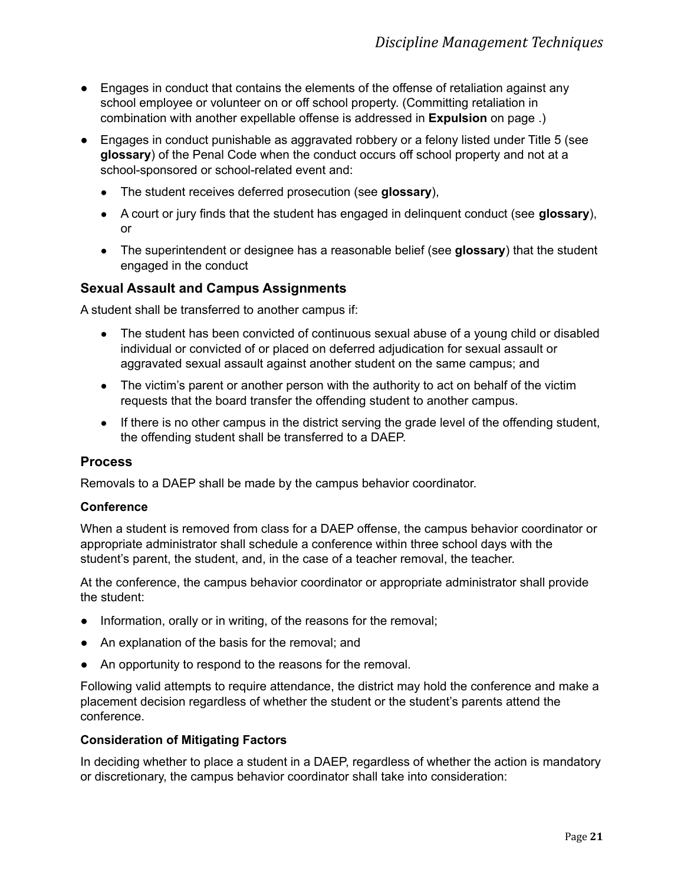- Engages in conduct that contains the elements of the offense of retaliation against any school employee or volunteer on or off school property. (Committing retaliation in combination with another expellable offense is addressed in **Expulsion** on page .)
- Engages in conduct punishable as aggravated robbery or a felony listed under Title 5 (see **glossary**) of the Penal Code when the conduct occurs off school property and not at a school-sponsored or school-related event and:
	- The student receives deferred prosecution (see **glossary**),
	- A court or jury finds that the student has engaged in delinquent conduct (see **glossary**), or
	- The superintendent or designee has a reasonable belief (see **glossary**) that the student engaged in the conduct

# **Sexual Assault and Campus Assignments**

A student shall be transferred to another campus if:

- The student has been convicted of continuous sexual abuse of a young child or disabled individual or convicted of or placed on deferred adjudication for sexual assault or aggravated sexual assault against another student on the same campus; and
- The victim's parent or another person with the authority to act on behalf of the victim requests that the board transfer the offending student to another campus.
- If there is no other campus in the district serving the grade level of the offending student, the offending student shall be transferred to a DAEP.

#### <span id="page-25-0"></span>**Process**

Removals to a DAEP shall be made by the campus behavior coordinator.

#### <span id="page-25-1"></span>**Conference**

When a student is removed from class for a DAEP offense, the campus behavior coordinator or appropriate administrator shall schedule a conference within three school days with the student's parent, the student, and, in the case of a teacher removal, the teacher.

At the conference, the campus behavior coordinator or appropriate administrator shall provide the student:

- Information, orally or in writing, of the reasons for the removal;
- An explanation of the basis for the removal; and
- An opportunity to respond to the reasons for the removal.

Following valid attempts to require attendance, the district may hold the conference and make a placement decision regardless of whether the student or the student's parents attend the conference.

#### <span id="page-25-2"></span>**Consideration of Mitigating Factors**

In deciding whether to place a student in a DAEP, regardless of whether the action is mandatory or discretionary, the campus behavior coordinator shall take into consideration: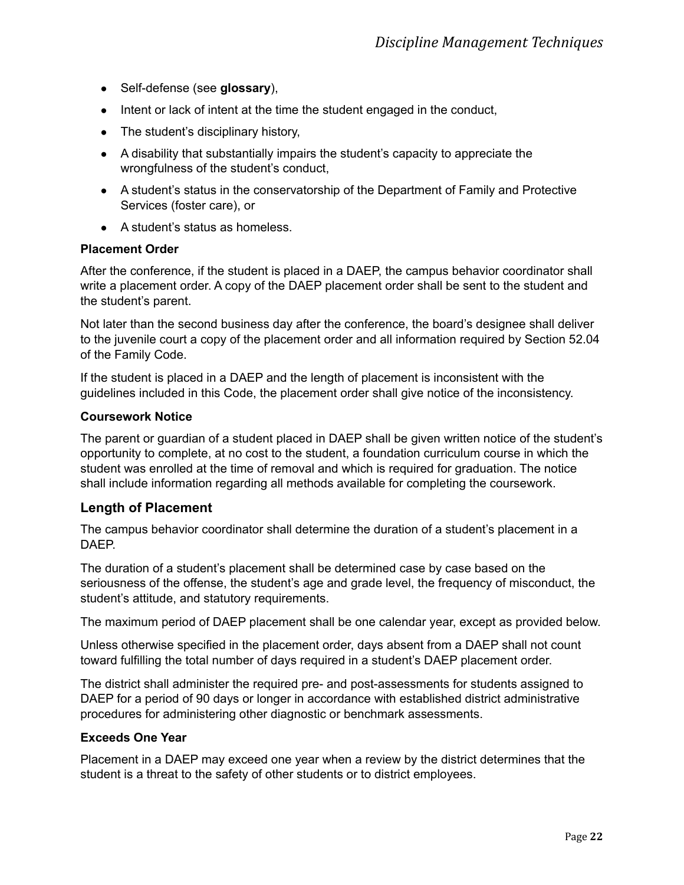- Self-defense (see **glossary**),
- Intent or lack of intent at the time the student engaged in the conduct,
- The student's disciplinary history,
- A disability that substantially impairs the student's capacity to appreciate the wrongfulness of the student's conduct,
- A student's status in the conservatorship of the Department of Family and Protective Services (foster care), or
- A student's status as homeless.

#### <span id="page-26-0"></span>**Placement Order**

After the conference, if the student is placed in a DAEP, the campus behavior coordinator shall write a placement order. A copy of the DAEP placement order shall be sent to the student and the student's parent.

Not later than the second business day after the conference, the board's designee shall deliver to the juvenile court a copy of the placement order and all information required by Section 52.04 of the Family Code.

If the student is placed in a DAEP and the length of placement is inconsistent with the guidelines included in this Code, the placement order shall give notice of the inconsistency.

#### <span id="page-26-1"></span>**Coursework Notice**

The parent or guardian of a student placed in DAEP shall be given written notice of the student's opportunity to complete, at no cost to the student, a foundation curriculum course in which the student was enrolled at the time of removal and which is required for graduation. The notice shall include information regarding all methods available for completing the coursework.

#### <span id="page-26-2"></span>**Length of Placement**

The campus behavior coordinator shall determine the duration of a student's placement in a DAEP.

The duration of a student's placement shall be determined case by case based on the seriousness of the offense, the student's age and grade level, the frequency of misconduct, the student's attitude, and statutory requirements.

The maximum period of DAEP placement shall be one calendar year, except as provided below.

Unless otherwise specified in the placement order, days absent from a DAEP shall not count toward fulfilling the total number of days required in a student's DAEP placement order.

The district shall administer the required pre- and post-assessments for students assigned to DAEP for a period of 90 days or longer in accordance with established district administrative procedures for administering other diagnostic or benchmark assessments.

#### <span id="page-26-3"></span>**Exceeds One Year**

Placement in a DAEP may exceed one year when a review by the district determines that the student is a threat to the safety of other students or to district employees.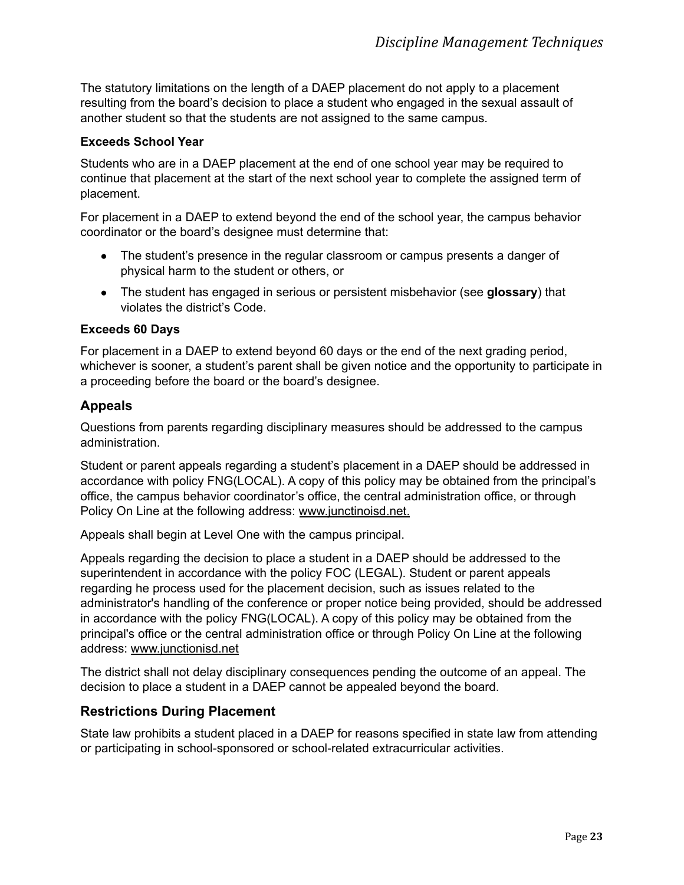The statutory limitations on the length of a DAEP placement do not apply to a placement resulting from the board's decision to place a student who engaged in the sexual assault of another student so that the students are not assigned to the same campus.

#### <span id="page-27-0"></span>**Exceeds School Year**

Students who are in a DAEP placement at the end of one school year may be required to continue that placement at the start of the next school year to complete the assigned term of placement.

For placement in a DAEP to extend beyond the end of the school year, the campus behavior coordinator or the board's designee must determine that:

- The student's presence in the regular classroom or campus presents a danger of physical harm to the student or others, or
- The student has engaged in serious or persistent misbehavior (see **glossary**) that violates the district's Code.

#### <span id="page-27-1"></span>**Exceeds 60 Days**

For placement in a DAEP to extend beyond 60 days or the end of the next grading period, whichever is sooner, a student's parent shall be given notice and the opportunity to participate in a proceeding before the board or the board's designee.

# <span id="page-27-2"></span>**Appeals**

Questions from parents regarding disciplinary measures should be addressed to the campus administration.

Student or parent appeals regarding a student's placement in a DAEP should be addressed in accordance with policy FNG(LOCAL). A copy of this policy may be obtained from the principal's office, the campus behavior coordinator's office, the central administration office, or through Policy On Line at the following address: www.junctinoisd.net.

Appeals shall begin at Level One with the campus principal.

Appeals regarding the decision to place a student in a DAEP should be addressed to the superintendent in accordance with the policy FOC (LEGAL). Student or parent appeals regarding he process used for the placement decision, such as issues related to the administrator's handling of the conference or proper notice being provided, should be addressed in accordance with the policy FNG(LOCAL). A copy of this policy may be obtained from the principal's office or the central administration office or through Policy On Line at the following address: www.junctionisd.net

The district shall not delay disciplinary consequences pending the outcome of an appeal. The decision to place a student in a DAEP cannot be appealed beyond the board.

#### <span id="page-27-3"></span>**Restrictions During Placement**

State law prohibits a student placed in a DAEP for reasons specified in state law from attending or participating in school-sponsored or school-related extracurricular activities.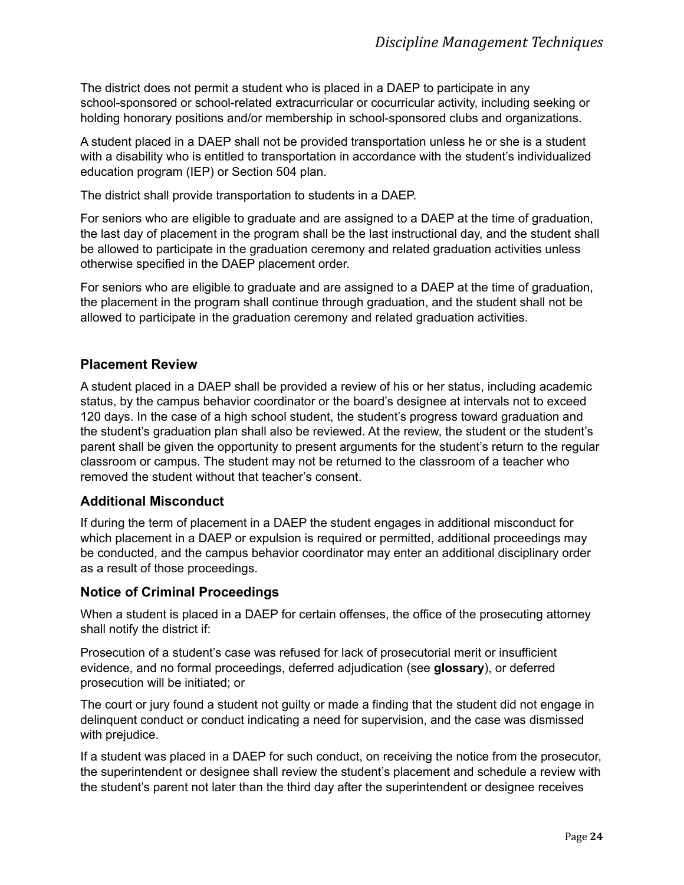The district does not permit a student who is placed in a DAEP to participate in any school-sponsored or school-related extracurricular or cocurricular activity, including seeking or holding honorary positions and/or membership in school-sponsored clubs and organizations.

A student placed in a DAEP shall not be provided transportation unless he or she is a student with a disability who is entitled to transportation in accordance with the student's individualized education program (IEP) or Section 504 plan.

The district shall provide transportation to students in a DAEP.

For seniors who are eligible to graduate and are assigned to a DAEP at the time of graduation, the last day of placement in the program shall be the last instructional day, and the student shall be allowed to participate in the graduation ceremony and related graduation activities unless otherwise specified in the DAEP placement order.

For seniors who are eligible to graduate and are assigned to a DAEP at the time of graduation, the placement in the program shall continue through graduation, and the student shall not be allowed to participate in the graduation ceremony and related graduation activities.

# <span id="page-28-0"></span>**Placement Review**

A student placed in a DAEP shall be provided a review of his or her status, including academic status, by the campus behavior coordinator or the board's designee at intervals not to exceed 120 days. In the case of a high school student, the student's progress toward graduation and the student's graduation plan shall also be reviewed. At the review, the student or the student's parent shall be given the opportunity to present arguments for the student's return to the regular classroom or campus. The student may not be returned to the classroom of a teacher who removed the student without that teacher's consent.

#### <span id="page-28-1"></span>**Additional Misconduct**

If during the term of placement in a DAEP the student engages in additional misconduct for which placement in a DAEP or expulsion is required or permitted, additional proceedings may be conducted, and the campus behavior coordinator may enter an additional disciplinary order as a result of those proceedings.

#### <span id="page-28-2"></span>**Notice of Criminal Proceedings**

When a student is placed in a DAEP for certain offenses, the office of the prosecuting attorney shall notify the district if:

Prosecution of a student's case was refused for lack of prosecutorial merit or insufficient evidence, and no formal proceedings, deferred adjudication (see **glossary**), or deferred prosecution will be initiated; or

The court or jury found a student not guilty or made a finding that the student did not engage in delinquent conduct or conduct indicating a need for supervision, and the case was dismissed with prejudice.

If a student was placed in a DAEP for such conduct, on receiving the notice from the prosecutor, the superintendent or designee shall review the student's placement and schedule a review with the student's parent not later than the third day after the superintendent or designee receives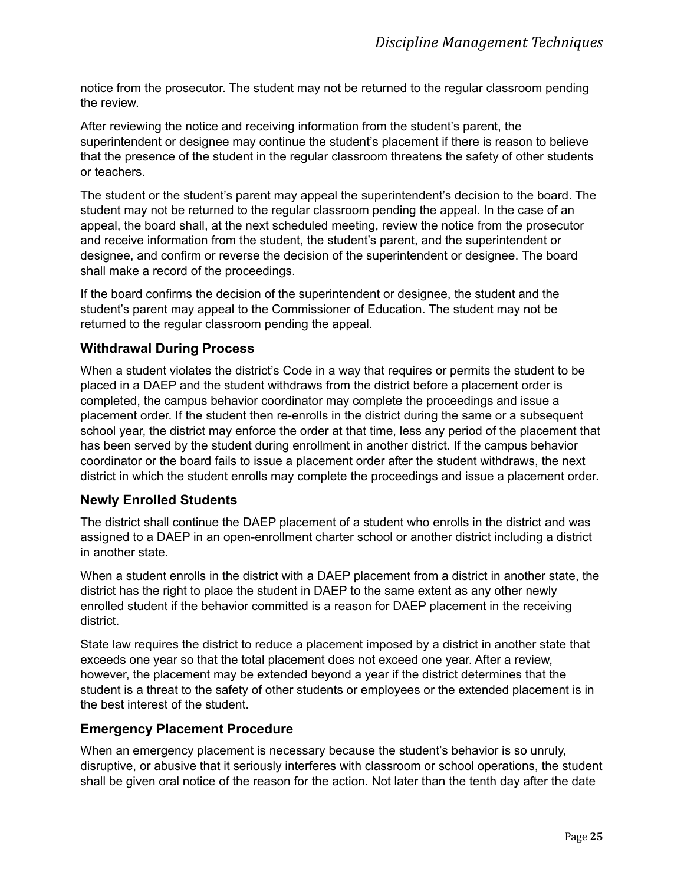notice from the prosecutor. The student may not be returned to the regular classroom pending the review.

After reviewing the notice and receiving information from the student's parent, the superintendent or designee may continue the student's placement if there is reason to believe that the presence of the student in the regular classroom threatens the safety of other students or teachers.

The student or the student's parent may appeal the superintendent's decision to the board. The student may not be returned to the regular classroom pending the appeal. In the case of an appeal, the board shall, at the next scheduled meeting, review the notice from the prosecutor and receive information from the student, the student's parent, and the superintendent or designee, and confirm or reverse the decision of the superintendent or designee. The board shall make a record of the proceedings.

If the board confirms the decision of the superintendent or designee, the student and the student's parent may appeal to the Commissioner of Education. The student may not be returned to the regular classroom pending the appeal.

# <span id="page-29-0"></span>**Withdrawal During Process**

When a student violates the district's Code in a way that requires or permits the student to be placed in a DAEP and the student withdraws from the district before a placement order is completed, the campus behavior coordinator may complete the proceedings and issue a placement order. If the student then re-enrolls in the district during the same or a subsequent school year, the district may enforce the order at that time, less any period of the placement that has been served by the student during enrollment in another district. If the campus behavior coordinator or the board fails to issue a placement order after the student withdraws, the next district in which the student enrolls may complete the proceedings and issue a placement order.

# <span id="page-29-1"></span>**Newly Enrolled Students**

The district shall continue the DAEP placement of a student who enrolls in the district and was assigned to a DAEP in an open-enrollment charter school or another district including a district in another state.

When a student enrolls in the district with a DAEP placement from a district in another state, the district has the right to place the student in DAEP to the same extent as any other newly enrolled student if the behavior committed is a reason for DAEP placement in the receiving district.

State law requires the district to reduce a placement imposed by a district in another state that exceeds one year so that the total placement does not exceed one year. After a review, however, the placement may be extended beyond a year if the district determines that the student is a threat to the safety of other students or employees or the extended placement is in the best interest of the student.

# <span id="page-29-2"></span>**Emergency Placement Procedure**

When an emergency placement is necessary because the student's behavior is so unruly, disruptive, or abusive that it seriously interferes with classroom or school operations, the student shall be given oral notice of the reason for the action. Not later than the tenth day after the date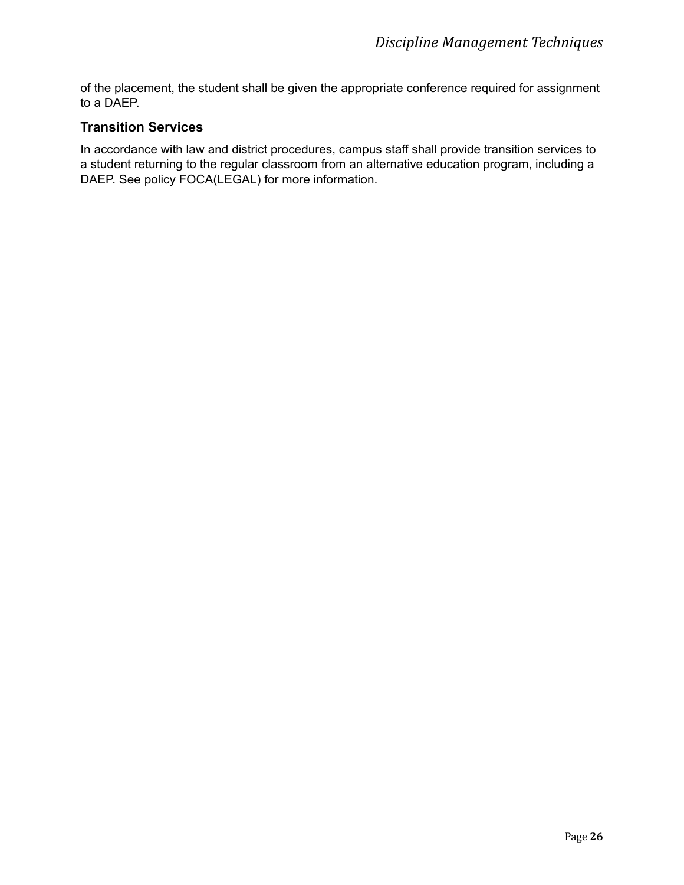of the placement, the student shall be given the appropriate conference required for assignment to a DAEP.

# <span id="page-30-0"></span>**Transition Services**

In accordance with law and district procedures, campus staff shall provide transition services to a student returning to the regular classroom from an alternative education program, including a DAEP. See policy FOCA(LEGAL) for more information.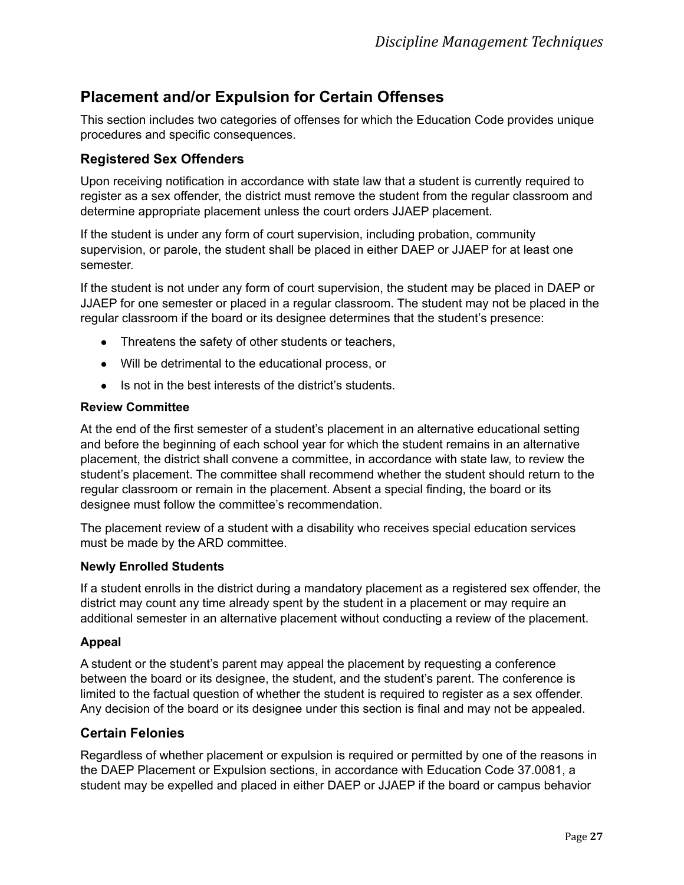# <span id="page-31-0"></span>**Placement and/or Expulsion for Certain Offenses**

This section includes two categories of offenses for which the Education Code provides unique procedures and specific consequences.

# <span id="page-31-1"></span>**Registered Sex Offenders**

Upon receiving notification in accordance with state law that a student is currently required to register as a sex offender, the district must remove the student from the regular classroom and determine appropriate placement unless the court orders JJAEP placement.

If the student is under any form of court supervision, including probation, community supervision, or parole, the student shall be placed in either DAEP or JJAEP for at least one semester.

If the student is not under any form of court supervision, the student may be placed in DAEP or JJAEP for one semester or placed in a regular classroom. The student may not be placed in the regular classroom if the board or its designee determines that the student's presence:

- Threatens the safety of other students or teachers,
- Will be detrimental to the educational process, or
- Is not in the best interests of the district's students.

#### <span id="page-31-2"></span>**Review Committee**

At the end of the first semester of a student's placement in an alternative educational setting and before the beginning of each school year for which the student remains in an alternative placement, the district shall convene a committee, in accordance with state law, to review the student's placement. The committee shall recommend whether the student should return to the regular classroom or remain in the placement. Absent a special finding, the board or its designee must follow the committee's recommendation.

The placement review of a student with a disability who receives special education services must be made by the ARD committee.

#### <span id="page-31-3"></span>**Newly Enrolled Students**

If a student enrolls in the district during a mandatory placement as a registered sex offender, the district may count any time already spent by the student in a placement or may require an additional semester in an alternative placement without conducting a review of the placement.

#### <span id="page-31-4"></span>**Appeal**

A student or the student's parent may appeal the placement by requesting a conference between the board or its designee, the student, and the student's parent. The conference is limited to the factual question of whether the student is required to register as a sex offender. Any decision of the board or its designee under this section is final and may not be appealed.

# <span id="page-31-5"></span>**Certain Felonies**

Regardless of whether placement or expulsion is required or permitted by one of the reasons in the DAEP Placement or Expulsion sections, in accordance with Education Code 37.0081, a student may be expelled and placed in either DAEP or JJAEP if the board or campus behavior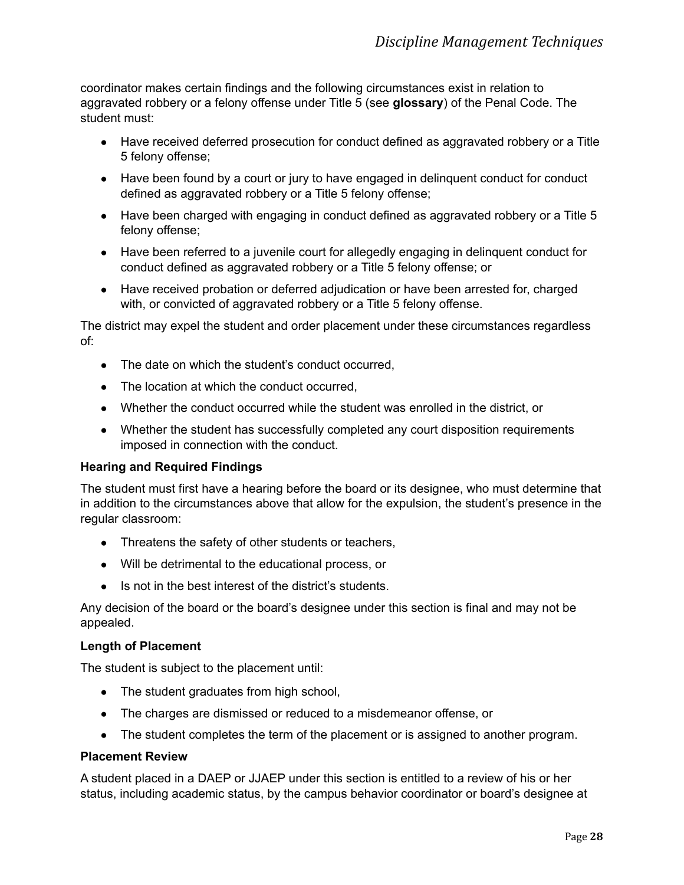coordinator makes certain findings and the following circumstances exist in relation to aggravated robbery or a felony offense under Title 5 (see **glossary**) of the Penal Code. The student must:

- Have received deferred prosecution for conduct defined as aggravated robbery or a Title 5 felony offense;
- Have been found by a court or jury to have engaged in delinquent conduct for conduct defined as aggravated robbery or a Title 5 felony offense;
- Have been charged with engaging in conduct defined as aggravated robbery or a Title 5 felony offense;
- Have been referred to a juvenile court for allegedly engaging in delinquent conduct for conduct defined as aggravated robbery or a Title 5 felony offense; or
- Have received probation or deferred adjudication or have been arrested for, charged with, or convicted of aggravated robbery or a Title 5 felony offense.

The district may expel the student and order placement under these circumstances regardless of:

- The date on which the student's conduct occurred,
- The location at which the conduct occurred,
- Whether the conduct occurred while the student was enrolled in the district, or
- Whether the student has successfully completed any court disposition requirements imposed in connection with the conduct.

#### <span id="page-32-0"></span>**Hearing and Required Findings**

The student must first have a hearing before the board or its designee, who must determine that in addition to the circumstances above that allow for the expulsion, the student's presence in the regular classroom:

- Threatens the safety of other students or teachers,
- Will be detrimental to the educational process, or
- Is not in the best interest of the district's students.

Any decision of the board or the board's designee under this section is final and may not be appealed.

#### <span id="page-32-1"></span>**Length of Placement**

The student is subject to the placement until:

- The student graduates from high school,
- The charges are dismissed or reduced to a misdemeanor offense, or
- The student completes the term of the placement or is assigned to another program.

#### <span id="page-32-2"></span>**Placement Review**

A student placed in a DAEP or JJAEP under this section is entitled to a review of his or her status, including academic status, by the campus behavior coordinator or board's designee at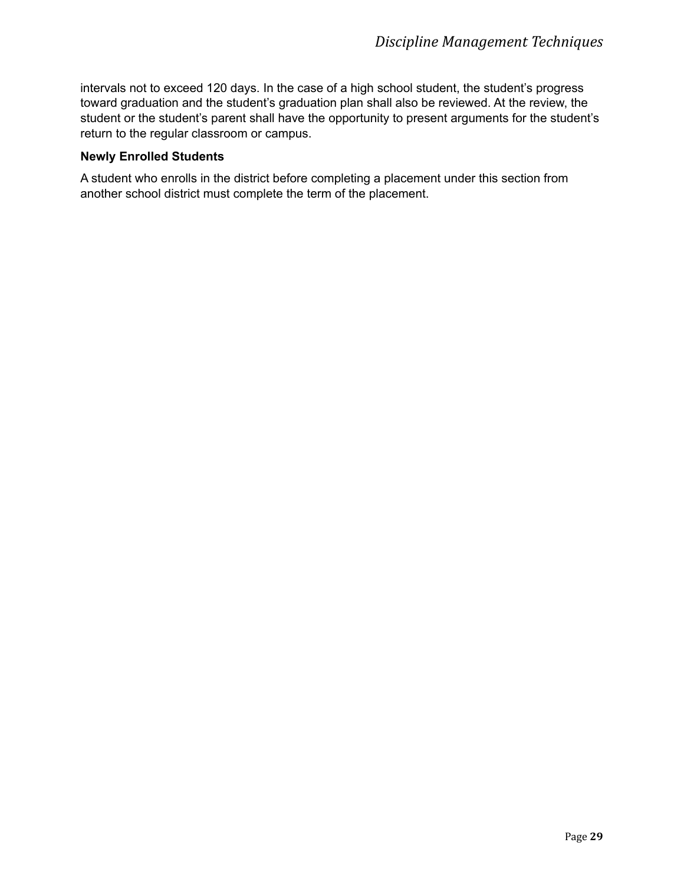intervals not to exceed 120 days. In the case of a high school student, the student's progress toward graduation and the student's graduation plan shall also be reviewed. At the review, the student or the student's parent shall have the opportunity to present arguments for the student's return to the regular classroom or campus.

#### <span id="page-33-0"></span>**Newly Enrolled Students**

A student who enrolls in the district before completing a placement under this section from another school district must complete the term of the placement.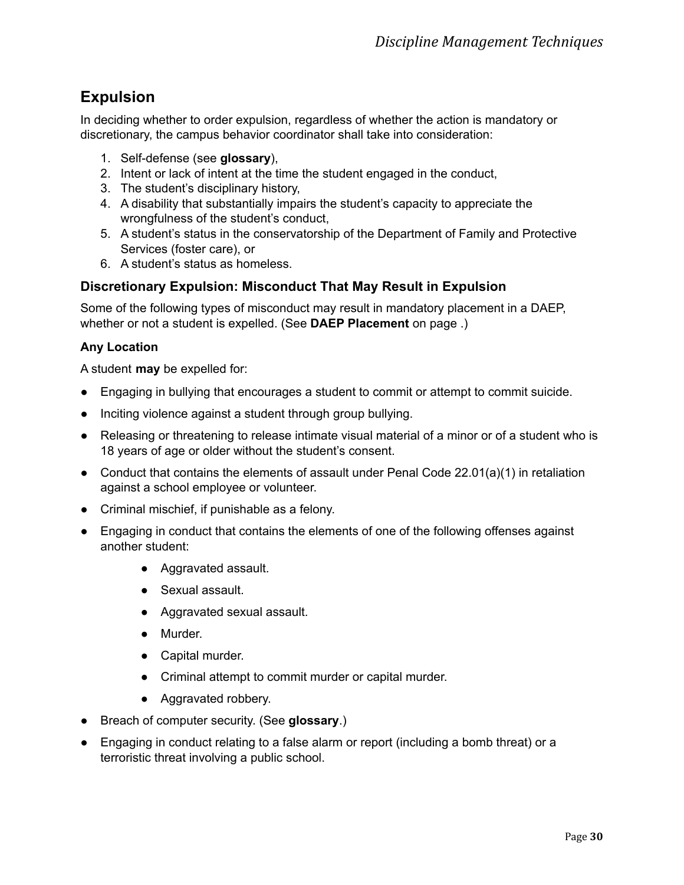# <span id="page-34-0"></span>**Expulsion**

In deciding whether to order expulsion, regardless of whether the action is mandatory or discretionary, the campus behavior coordinator shall take into consideration:

- 1. Self-defense (see **glossary**),
- 2. Intent or lack of intent at the time the student engaged in the conduct,
- 3. The student's disciplinary history,
- 4. A disability that substantially impairs the student's capacity to appreciate the wrongfulness of the student's conduct,
- 5. A student's status in the conservatorship of the Department of Family and Protective Services (foster care), or
- 6. A student's status as homeless.

# <span id="page-34-1"></span>**Discretionary Expulsion: Misconduct That May Result in Expulsion**

Some of the following types of misconduct may result in mandatory placement in a DAEP, whether or not a student is expelled. (See **DAEP Placement** on page .)

# <span id="page-34-2"></span>**Any Location**

A student **may** be expelled for:

- Engaging in bullying that encourages a student to commit or attempt to commit suicide.
- Inciting violence against a student through group bullying.
- Releasing or threatening to release intimate visual material of a minor or of a student who is 18 years of age or older without the student's consent.
- Conduct that contains the elements of assault under Penal Code 22.01(a)(1) in retaliation against a school employee or volunteer.
- Criminal mischief, if punishable as a felony.
- Engaging in conduct that contains the elements of one of the following offenses against another student:
	- Aggravated assault.
	- Sexual assault.
	- Aggravated sexual assault.
	- Murder.
	- Capital murder.
	- Criminal attempt to commit murder or capital murder.
	- Aggravated robbery.
- Breach of computer security. (See **glossary**.)
- Engaging in conduct relating to a false alarm or report (including a bomb threat) or a terroristic threat involving a public school.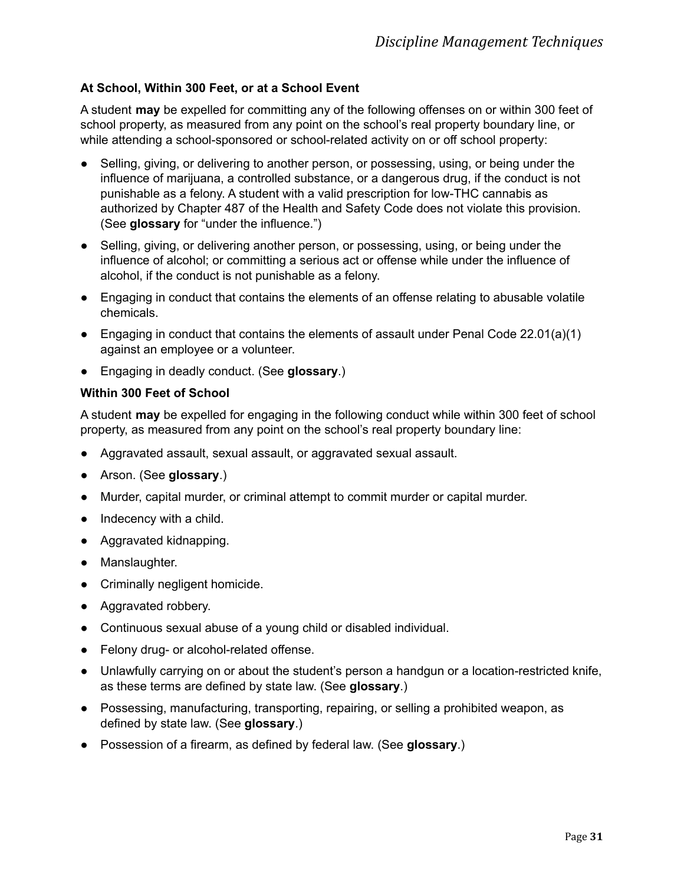#### <span id="page-35-0"></span>**At School, Within 300 Feet, or at a School Event**

A student **may** be expelled for committing any of the following offenses on or within 300 feet of school property, as measured from any point on the school's real property boundary line, or while attending a school-sponsored or school-related activity on or off school property:

- Selling, giving, or delivering to another person, or possessing, using, or being under the influence of marijuana, a controlled substance, or a dangerous drug, if the conduct is not punishable as a felony. A student with a valid prescription for low-THC cannabis as authorized by Chapter 487 of the Health and Safety Code does not violate this provision. (See **glossary** for "under the influence.")
- Selling, giving, or delivering another person, or possessing, using, or being under the influence of alcohol; or committing a serious act or offense while under the influence of alcohol, if the conduct is not punishable as a felony.
- Engaging in conduct that contains the elements of an offense relating to abusable volatile chemicals.
- Engaging in conduct that contains the elements of assault under Penal Code  $22.01(a)(1)$ against an employee or a volunteer.
- Engaging in deadly conduct. (See **glossary**.)

#### <span id="page-35-1"></span>**Within 300 Feet of School**

A student **may** be expelled for engaging in the following conduct while within 300 feet of school property, as measured from any point on the school's real property boundary line:

- Aggravated assault, sexual assault, or aggravated sexual assault.
- Arson. (See **glossary**.)
- Murder, capital murder, or criminal attempt to commit murder or capital murder.
- Indecency with a child.
- Aggravated kidnapping.
- Manslaughter.
- Criminally negligent homicide.
- Aggravated robbery.
- Continuous sexual abuse of a young child or disabled individual.
- Felony drug- or alcohol-related offense.
- Unlawfully carrying on or about the student's person a handgun or a location-restricted knife, as these terms are defined by state law. (See **glossary**.)
- Possessing, manufacturing, transporting, repairing, or selling a prohibited weapon, as defined by state law. (See **glossary**.)
- Possession of a firearm, as defined by federal law. (See **glossary**.)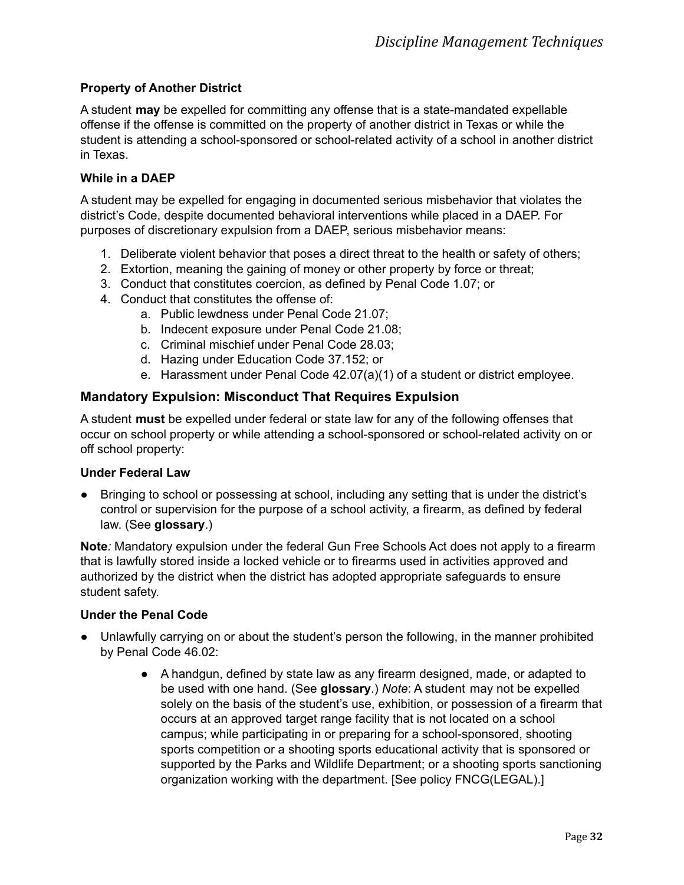#### <span id="page-36-0"></span>**Property of Another District**

A student **may** be expelled for committing any offense that is a state-mandated expellable offense if the offense is committed on the property of another district in Texas or while the student is attending a school-sponsored or school-related activity of a school in another district in Texas.

#### <span id="page-36-1"></span>**While in a DAEP**

A student may be expelled for engaging in documented serious misbehavior that violates the district's Code, despite documented behavioral interventions while placed in a DAEP. For purposes of discretionary expulsion from a DAEP, serious misbehavior means:

- 1. Deliberate violent behavior that poses a direct threat to the health or safety of others;
- 2. Extortion, meaning the gaining of money or other property by force or threat;
- 3. Conduct that constitutes coercion, as defined by Penal Code 1.07; or
- 4. Conduct that constitutes the offense of:
	- a. Public lewdness under Penal Code 21.07;
	- b. Indecent exposure under Penal Code 21.08;
	- c. Criminal mischief under Penal Code 28.03;
	- d. Hazing under Education Code 37.152; or
	- e. Harassment under Penal Code 42.07(a)(1) of a student or district employee.

# <span id="page-36-2"></span>**Mandatory Expulsion: Misconduct That Requires Expulsion**

A student **must** be expelled under federal or state law for any of the following offenses that occur on school property or while attending a school-sponsored or school-related activity on or off school property:

#### <span id="page-36-3"></span>**Under Federal Law**

● Bringing to school or possessing at school, including any setting that is under the district's control or supervision for the purpose of a school activity, a firearm, as defined by federal law. (See **glossary**.)

**Note***:* Mandatory expulsion under the federal Gun Free Schools Act does not apply to a firearm that is lawfully stored inside a locked vehicle or to firearms used in activities approved and authorized by the district when the district has adopted appropriate safeguards to ensure student safety.

#### <span id="page-36-4"></span>**Under the Penal Code**

- Unlawfully carrying on or about the student's person the following, in the manner prohibited by Penal Code 46.02:
	- A handgun, defined by state law as any firearm designed, made, or adapted to be used with one hand. (See **glossary**.) *Note*: A student may not be expelled solely on the basis of the student's use, exhibition, or possession of a firearm that occurs at an approved target range facility that is not located on a school campus; while participating in or preparing for a school-sponsored, shooting sports competition or a shooting sports educational activity that is sponsored or supported by the Parks and Wildlife Department; or a shooting sports sanctioning organization working with the department. [See policy FNCG(LEGAL).]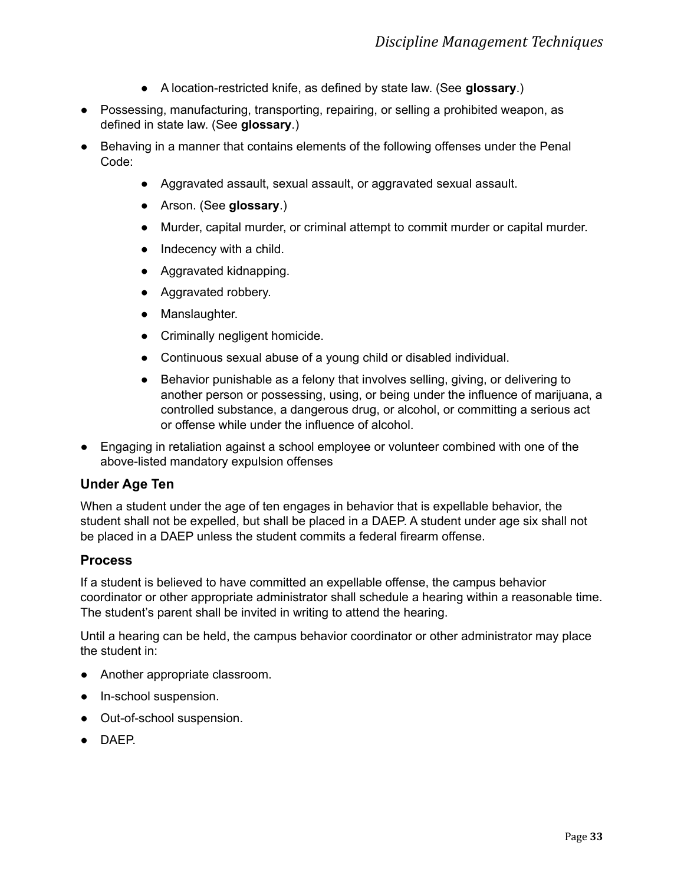- A location-restricted knife, as defined by state law. (See **glossary**.)
- Possessing, manufacturing, transporting, repairing, or selling a prohibited weapon, as defined in state law. (See **glossary**.)
- Behaving in a manner that contains elements of the following offenses under the Penal Code:
	- Aggravated assault, sexual assault, or aggravated sexual assault.
	- Arson. (See **glossary**.)
	- Murder, capital murder, or criminal attempt to commit murder or capital murder.
	- Indecency with a child.
	- Aggravated kidnapping.
	- Aggravated robbery.
	- Manslaughter.
	- Criminally negligent homicide.
	- Continuous sexual abuse of a young child or disabled individual.
	- Behavior punishable as a felony that involves selling, giving, or delivering to another person or possessing, using, or being under the influence of marijuana, a controlled substance, a dangerous drug, or alcohol, or committing a serious act or offense while under the influence of alcohol.
- Engaging in retaliation against a school employee or volunteer combined with one of the above-listed mandatory expulsion offenses

# <span id="page-37-0"></span>**Under Age Ten**

When a student under the age of ten engages in behavior that is expellable behavior, the student shall not be expelled, but shall be placed in a DAEP. A student under age six shall not be placed in a DAEP unless the student commits a federal firearm offense.

# <span id="page-37-1"></span>**Process**

If a student is believed to have committed an expellable offense, the campus behavior coordinator or other appropriate administrator shall schedule a hearing within a reasonable time. The student's parent shall be invited in writing to attend the hearing.

Until a hearing can be held, the campus behavior coordinator or other administrator may place the student in:

- Another appropriate classroom.
- In-school suspension.
- Out-of-school suspension.
- DAEP.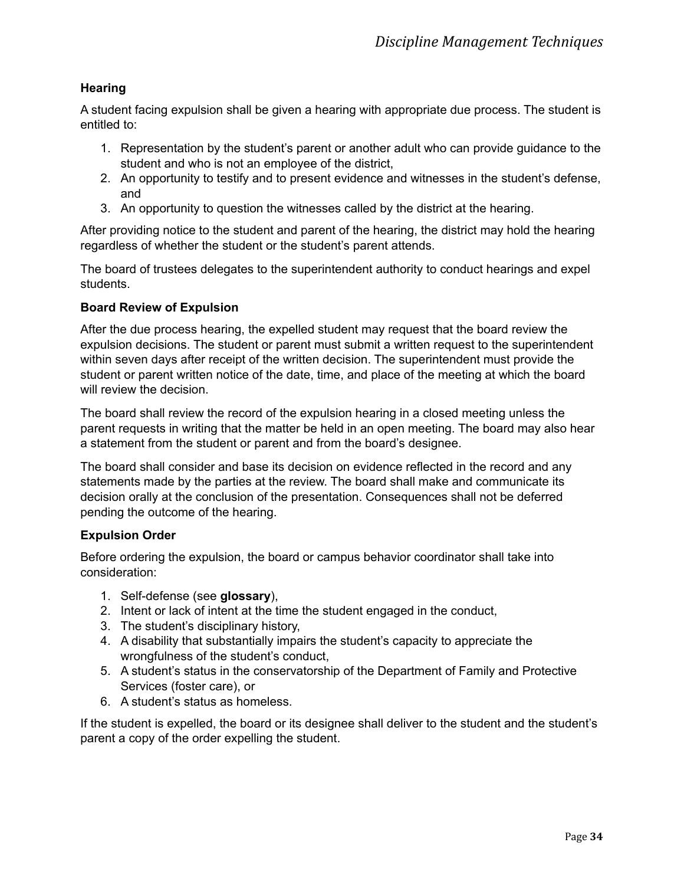#### <span id="page-38-0"></span>**Hearing**

A student facing expulsion shall be given a hearing with appropriate due process. The student is entitled to:

- 1. Representation by the student's parent or another adult who can provide guidance to the student and who is not an employee of the district,
- 2. An opportunity to testify and to present evidence and witnesses in the student's defense, and
- 3. An opportunity to question the witnesses called by the district at the hearing.

After providing notice to the student and parent of the hearing, the district may hold the hearing regardless of whether the student or the student's parent attends.

The board of trustees delegates to the superintendent authority to conduct hearings and expel students.

#### <span id="page-38-1"></span>**Board Review of Expulsion**

After the due process hearing, the expelled student may request that the board review the expulsion decisions. The student or parent must submit a written request to the superintendent within seven days after receipt of the written decision. The superintendent must provide the student or parent written notice of the date, time, and place of the meeting at which the board will review the decision.

The board shall review the record of the expulsion hearing in a closed meeting unless the parent requests in writing that the matter be held in an open meeting. The board may also hear a statement from the student or parent and from the board's designee.

The board shall consider and base its decision on evidence reflected in the record and any statements made by the parties at the review. The board shall make and communicate its decision orally at the conclusion of the presentation. Consequences shall not be deferred pending the outcome of the hearing.

#### <span id="page-38-2"></span>**Expulsion Order**

Before ordering the expulsion, the board or campus behavior coordinator shall take into consideration:

- 1. Self-defense (see **glossary**),
- 2. Intent or lack of intent at the time the student engaged in the conduct,
- 3. The student's disciplinary history,
- 4. A disability that substantially impairs the student's capacity to appreciate the wrongfulness of the student's conduct,
- 5. A student's status in the conservatorship of the Department of Family and Protective Services (foster care), or
- 6. A student's status as homeless.

If the student is expelled, the board or its designee shall deliver to the student and the student's parent a copy of the order expelling the student.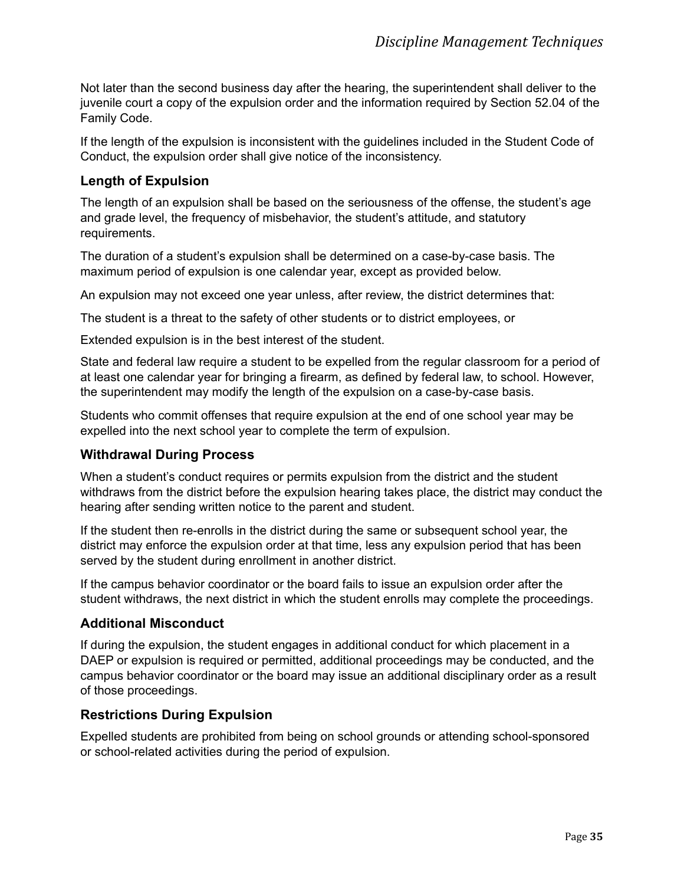Not later than the second business day after the hearing, the superintendent shall deliver to the juvenile court a copy of the expulsion order and the information required by Section 52.04 of the Family Code.

If the length of the expulsion is inconsistent with the guidelines included in the Student Code of Conduct, the expulsion order shall give notice of the inconsistency.

# <span id="page-39-0"></span>**Length of Expulsion**

The length of an expulsion shall be based on the seriousness of the offense, the student's age and grade level, the frequency of misbehavior, the student's attitude, and statutory requirements.

The duration of a student's expulsion shall be determined on a case-by-case basis. The maximum period of expulsion is one calendar year, except as provided below.

An expulsion may not exceed one year unless, after review, the district determines that:

The student is a threat to the safety of other students or to district employees, or

Extended expulsion is in the best interest of the student.

State and federal law require a student to be expelled from the regular classroom for a period of at least one calendar year for bringing a firearm, as defined by federal law, to school. However, the superintendent may modify the length of the expulsion on a case-by-case basis.

Students who commit offenses that require expulsion at the end of one school year may be expelled into the next school year to complete the term of expulsion.

# <span id="page-39-1"></span>**Withdrawal During Process**

When a student's conduct requires or permits expulsion from the district and the student withdraws from the district before the expulsion hearing takes place, the district may conduct the hearing after sending written notice to the parent and student.

If the student then re-enrolls in the district during the same or subsequent school year, the district may enforce the expulsion order at that time, less any expulsion period that has been served by the student during enrollment in another district.

If the campus behavior coordinator or the board fails to issue an expulsion order after the student withdraws, the next district in which the student enrolls may complete the proceedings.

# <span id="page-39-2"></span>**Additional Misconduct**

If during the expulsion, the student engages in additional conduct for which placement in a DAEP or expulsion is required or permitted, additional proceedings may be conducted, and the campus behavior coordinator or the board may issue an additional disciplinary order as a result of those proceedings.

# <span id="page-39-3"></span>**Restrictions During Expulsion**

Expelled students are prohibited from being on school grounds or attending school-sponsored or school-related activities during the period of expulsion.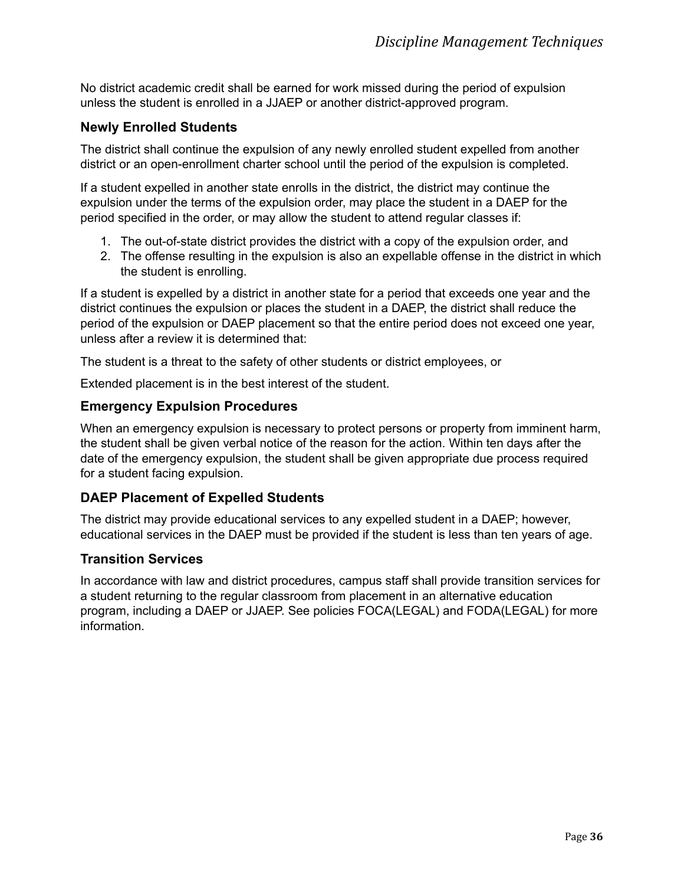No district academic credit shall be earned for work missed during the period of expulsion unless the student is enrolled in a JJAEP or another district-approved program.

# <span id="page-40-0"></span>**Newly Enrolled Students**

The district shall continue the expulsion of any newly enrolled student expelled from another district or an open-enrollment charter school until the period of the expulsion is completed.

If a student expelled in another state enrolls in the district, the district may continue the expulsion under the terms of the expulsion order, may place the student in a DAEP for the period specified in the order, or may allow the student to attend regular classes if:

- 1. The out-of-state district provides the district with a copy of the expulsion order, and
- 2. The offense resulting in the expulsion is also an expellable offense in the district in which the student is enrolling.

If a student is expelled by a district in another state for a period that exceeds one year and the district continues the expulsion or places the student in a DAEP, the district shall reduce the period of the expulsion or DAEP placement so that the entire period does not exceed one year, unless after a review it is determined that:

The student is a threat to the safety of other students or district employees, or

Extended placement is in the best interest of the student.

# <span id="page-40-1"></span>**Emergency Expulsion Procedures**

When an emergency expulsion is necessary to protect persons or property from imminent harm, the student shall be given verbal notice of the reason for the action. Within ten days after the date of the emergency expulsion, the student shall be given appropriate due process required for a student facing expulsion.

# <span id="page-40-2"></span>**DAEP Placement of Expelled Students**

The district may provide educational services to any expelled student in a DAEP; however, educational services in the DAEP must be provided if the student is less than ten years of age.

# <span id="page-40-3"></span>**Transition Services**

In accordance with law and district procedures, campus staff shall provide transition services for a student returning to the regular classroom from placement in an alternative education program, including a DAEP or JJAEP. See policies FOCA(LEGAL) and FODA(LEGAL) for more information.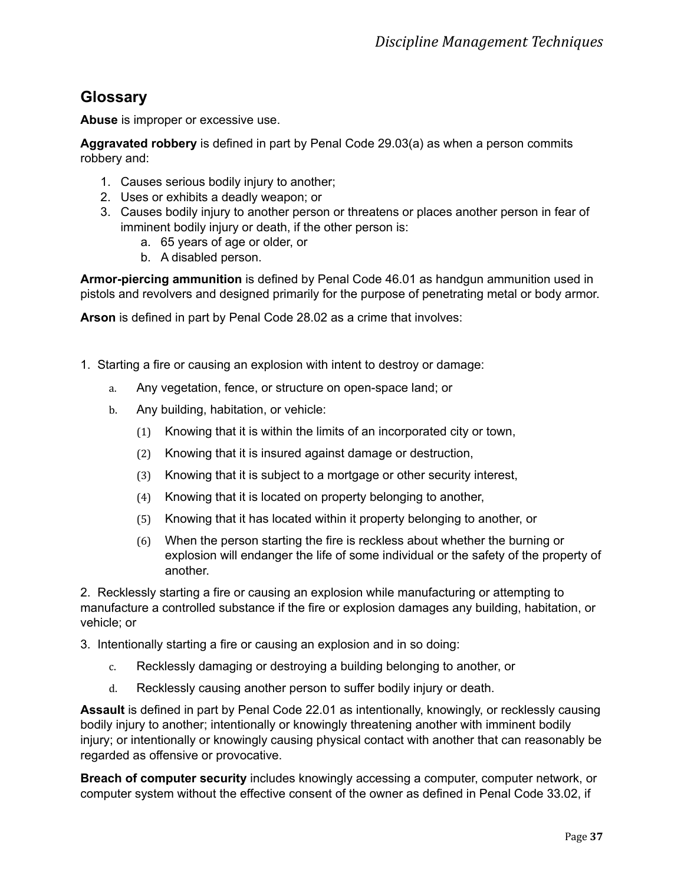# <span id="page-41-0"></span>**Glossary**

**Abuse** is improper or excessive use.

**Aggravated robbery** is defined in part by Penal Code 29.03(a) as when a person commits robbery and:

- 1. Causes serious bodily injury to another;
- 2. Uses or exhibits a deadly weapon; or
- 3. Causes bodily injury to another person or threatens or places another person in fear of imminent bodily injury or death, if the other person is:
	- a. 65 years of age or older, or
	- b. A disabled person.

**Armor-piercing ammunition** is defined by Penal Code 46.01 as handgun ammunition used in pistols and revolvers and designed primarily for the purpose of penetrating metal or body armor.

**Arson** is defined in part by Penal Code 28.02 as a crime that involves:

- 1. Starting a fire or causing an explosion with intent to destroy or damage:
	- a. Any vegetation, fence, or structure on open-space land; or
	- b. Any building, habitation, or vehicle:
		- (1) Knowing that it is within the limits of an incorporated city or town,
		- (2) Knowing that it is insured against damage or destruction,
		- (3) Knowing that it is subject to a mortgage or other security interest,
		- (4) Knowing that it is located on property belonging to another,
		- (5) Knowing that it has located within it property belonging to another, or
		- (6) When the person starting the fire is reckless about whether the burning or explosion will endanger the life of some individual or the safety of the property of another.

2. Recklessly starting a fire or causing an explosion while manufacturing or attempting to manufacture a controlled substance if the fire or explosion damages any building, habitation, or vehicle; or

3. Intentionally starting a fire or causing an explosion and in so doing:

- c. Recklessly damaging or destroying a building belonging to another, or
- d. Recklessly causing another person to suffer bodily injury or death.

**Assault** is defined in part by Penal Code 22.01 as intentionally, knowingly, or recklessly causing bodily injury to another; intentionally or knowingly threatening another with imminent bodily injury; or intentionally or knowingly causing physical contact with another that can reasonably be regarded as offensive or provocative.

**Breach of computer security** includes knowingly accessing a computer, computer network, or computer system without the effective consent of the owner as defined in Penal Code 33.02, if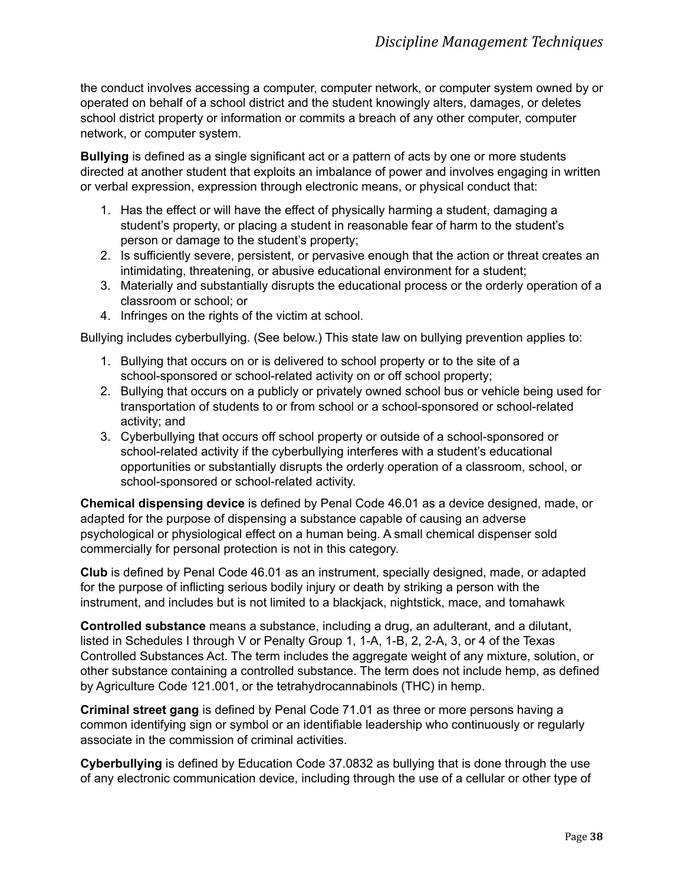the conduct involves accessing a computer, computer network, or computer system owned by or operated on behalf of a school district and the student knowingly alters, damages, or deletes school district property or information or commits a breach of any other computer, computer network, or computer system.

**Bullying** is defined as a single significant act or a pattern of acts by one or more students directed at another student that exploits an imbalance of power and involves engaging in written or verbal expression, expression through electronic means, or physical conduct that:

- 1. Has the effect or will have the effect of physically harming a student, damaging a student's property, or placing a student in reasonable fear of harm to the student's person or damage to the student's property;
- 2. Is sufficiently severe, persistent, or pervasive enough that the action or threat creates an intimidating, threatening, or abusive educational environment for a student;
- 3. Materially and substantially disrupts the educational process or the orderly operation of a classroom or school; or
- 4. Infringes on the rights of the victim at school.

Bullying includes cyberbullying. (See below.) This state law on bullying prevention applies to:

- 1. Bullying that occurs on or is delivered to school property or to the site of a school-sponsored or school-related activity on or off school property;
- 2. Bullying that occurs on a publicly or privately owned school bus or vehicle being used for transportation of students to or from school or a school-sponsored or school-related activity; and
- 3. Cyberbullying that occurs off school property or outside of a school-sponsored or school-related activity if the cyberbullying interferes with a student's educational opportunities or substantially disrupts the orderly operation of a classroom, school, or school-sponsored or school-related activity.

**Chemical dispensing device** is defined by Penal Code 46.01 as a device designed, made, or adapted for the purpose of dispensing a substance capable of causing an adverse psychological or physiological effect on a human being. A small chemical dispenser sold commercially for personal protection is not in this category.

**Club** is defined by Penal Code 46.01 as an instrument, specially designed, made, or adapted for the purpose of inflicting serious bodily injury or death by striking a person with the instrument, and includes but is not limited to a blackjack, nightstick, mace, and tomahawk

**Controlled substance** means a substance, including a drug, an adulterant, and a dilutant, listed in Schedules I through V or Penalty Group 1, 1-A, 1-B, 2, 2-A, 3, or 4 of the Texas Controlled Substances Act. The term includes the aggregate weight of any mixture, solution, or other substance containing a controlled substance. The term does not include hemp, as defined by Agriculture Code 121.001, or the tetrahydrocannabinols (THC) in hemp.

**Criminal street gang** is defined by Penal Code 71.01 as three or more persons having a common identifying sign or symbol or an identifiable leadership who continuously or regularly associate in the commission of criminal activities.

**Cyberbullying** is defined by Education Code 37.0832 as bullying that is done through the use of any electronic communication device, including through the use of a cellular or other type of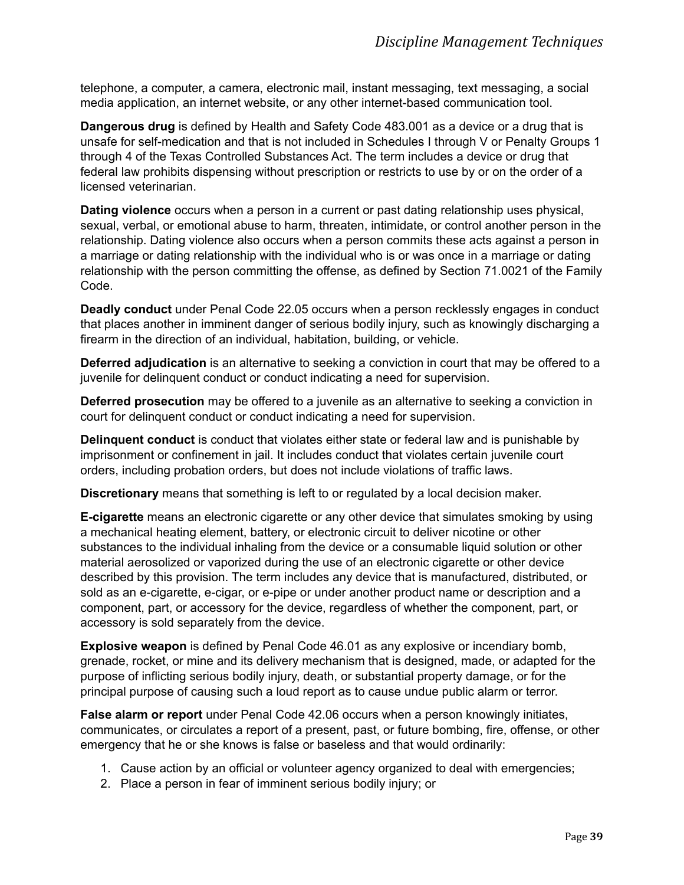telephone, a computer, a camera, electronic mail, instant messaging, text messaging, a social media application, an internet website, or any other internet-based communication tool.

**Dangerous drug** is defined by Health and Safety Code 483.001 as a device or a drug that is unsafe for self-medication and that is not included in Schedules I through V or Penalty Groups 1 through 4 of the Texas Controlled Substances Act. The term includes a device or drug that federal law prohibits dispensing without prescription or restricts to use by or on the order of a licensed veterinarian.

**Dating violence** occurs when a person in a current or past dating relationship uses physical, sexual, verbal, or emotional abuse to harm, threaten, intimidate, or control another person in the relationship. Dating violence also occurs when a person commits these acts against a person in a marriage or dating relationship with the individual who is or was once in a marriage or dating relationship with the person committing the offense, as defined by Section 71.0021 of the Family Code.

**Deadly conduct** under Penal Code 22.05 occurs when a person recklessly engages in conduct that places another in imminent danger of serious bodily injury, such as knowingly discharging a firearm in the direction of an individual, habitation, building, or vehicle.

**Deferred adjudication** is an alternative to seeking a conviction in court that may be offered to a juvenile for delinquent conduct or conduct indicating a need for supervision.

**Deferred prosecution** may be offered to a juvenile as an alternative to seeking a conviction in court for delinquent conduct or conduct indicating a need for supervision.

**Delinquent conduct** is conduct that violates either state or federal law and is punishable by imprisonment or confinement in jail. It includes conduct that violates certain juvenile court orders, including probation orders, but does not include violations of traffic laws.

**Discretionary** means that something is left to or regulated by a local decision maker.

**E-cigarette** means an electronic cigarette or any other device that simulates smoking by using a mechanical heating element, battery, or electronic circuit to deliver nicotine or other substances to the individual inhaling from the device or a consumable liquid solution or other material aerosolized or vaporized during the use of an electronic cigarette or other device described by this provision. The term includes any device that is manufactured, distributed, or sold as an e-cigarette, e-cigar, or e-pipe or under another product name or description and a component, part, or accessory for the device, regardless of whether the component, part, or accessory is sold separately from the device.

**Explosive weapon** is defined by Penal Code 46.01 as any explosive or incendiary bomb, grenade, rocket, or mine and its delivery mechanism that is designed, made, or adapted for the purpose of inflicting serious bodily injury, death, or substantial property damage, or for the principal purpose of causing such a loud report as to cause undue public alarm or terror.

**False alarm or report** under Penal Code 42.06 occurs when a person knowingly initiates, communicates, or circulates a report of a present, past, or future bombing, fire, offense, or other emergency that he or she knows is false or baseless and that would ordinarily:

- 1. Cause action by an official or volunteer agency organized to deal with emergencies;
- 2. Place a person in fear of imminent serious bodily injury; or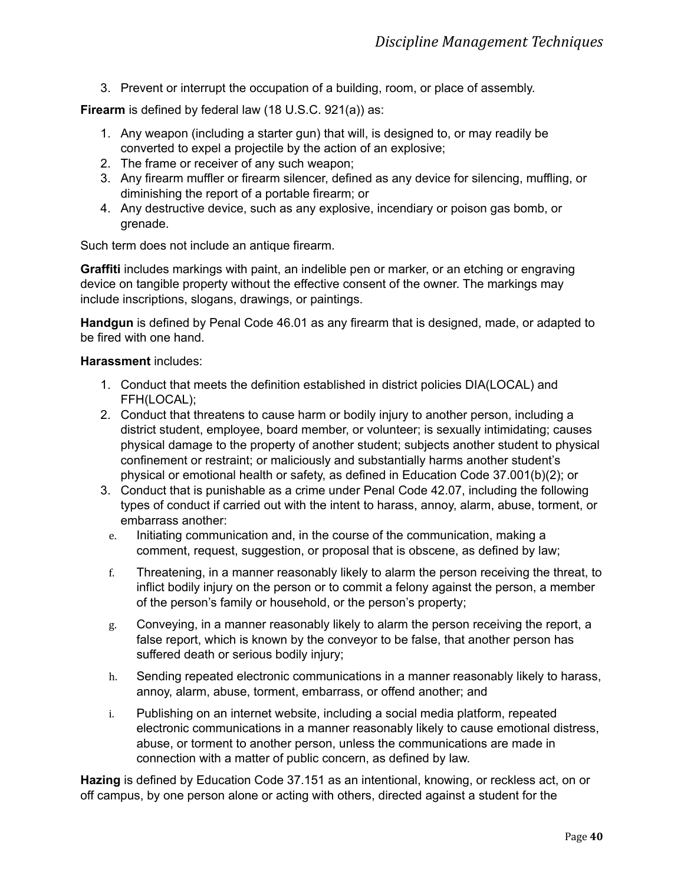3. Prevent or interrupt the occupation of a building, room, or place of assembly.

**Firearm** is defined by federal law (18 U.S.C. 921(a)) as:

- 1. Any weapon (including a starter gun) that will, is designed to, or may readily be converted to expel a projectile by the action of an explosive;
- 2. The frame or receiver of any such weapon;
- 3. Any firearm muffler or firearm silencer, defined as any device for silencing, muffling, or diminishing the report of a portable [firearm;](https://www.law.cornell.edu/definitions/uscode.php?width=840&height=800&iframe=true&def_id=18-USC-849457050-943489799&term_occur=999&term_src=title:18:part:I:chapter:44:section:921) or
- 4. Any destructive device, such as any explosive, incendiary or poison gas bomb, or grenade.

Such term does not include an antique firearm.

**Graffiti** includes markings with paint, an indelible pen or marker, or an etching or engraving device on tangible property without the effective consent of the owner. The markings may include inscriptions, slogans, drawings, or paintings.

**Handgun** is defined by Penal Code 46.01 as any firearm that is designed, made, or adapted to be fired with one hand.

#### **Harassment** includes:

- 1. Conduct that meets the definition established in district policies DIA(LOCAL) and FFH(LOCAL);
- 2. Conduct that threatens to cause harm or bodily injury to another person, including a district student, employee, board member, or volunteer; is sexually intimidating; causes physical damage to the property of another student; subjects another student to physical confinement or restraint; or maliciously and substantially harms another student's physical or emotional health or safety, as defined in Education Code 37.001(b)(2); or
- 3. Conduct that is punishable as a crime under Penal Code 42.07, including the following types of conduct if carried out with the intent to harass, annoy, alarm, abuse, torment, or embarrass another:
	- e. Initiating communication and, in the course of the communication, making a comment, request, suggestion, or proposal that is obscene, as defined by law;
	- f. Threatening, in a manner reasonably likely to alarm the person receiving the threat, to inflict bodily injury on the person or to commit a felony against the person, a member of the person's family or household, or the person's property;
	- g. Conveying, in a manner reasonably likely to alarm the person receiving the report, a false report, which is known by the conveyor to be false, that another person has suffered death or serious bodily injury;
	- h. Sending repeated electronic communications in a manner reasonably likely to harass, annoy, alarm, abuse, torment, embarrass, or offend another; and
	- i. Publishing on an internet website, including a social media platform, repeated electronic communications in a manner reasonably likely to cause emotional distress, abuse, or torment to another person, unless the communications are made in connection with a matter of public concern, as defined by law.

**Hazing** is defined by Education Code 37.151 as an intentional, knowing, or reckless act, on or off campus, by one person alone or acting with others, directed against a student for the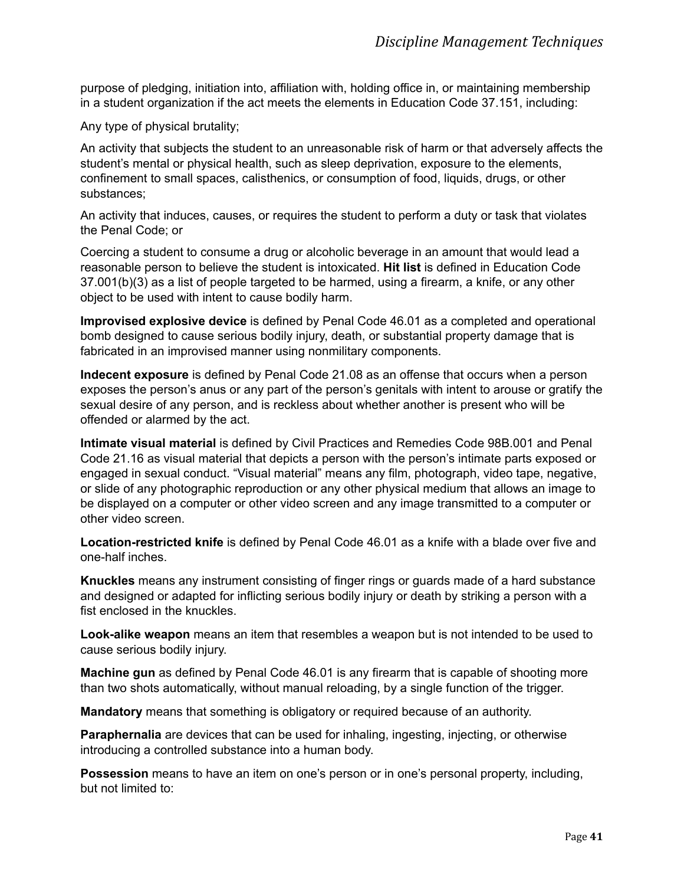purpose of pledging, initiation into, affiliation with, holding office in, or maintaining membership in a student organization if the act meets the elements in Education Code 37.151, including:

Any type of physical brutality;

An activity that subjects the student to an unreasonable risk of harm or that adversely affects the student's mental or physical health, such as sleep deprivation, exposure to the elements, confinement to small spaces, calisthenics, or consumption of food, liquids, drugs, or other substances;

An activity that induces, causes, or requires the student to perform a duty or task that violates the Penal Code; or

Coercing a student to consume a drug or alcoholic beverage in an amount that would lead a reasonable person to believe the student is intoxicated. **Hit list** is defined in Education Code 37.001(b)(3) as a list of people targeted to be harmed, using a firearm, a knife, or any other object to be used with intent to cause bodily harm.

**Improvised explosive device** is defined by Penal Code 46.01 as a completed and operational bomb designed to cause serious bodily injury, death, or substantial property damage that is fabricated in an improvised manner using nonmilitary components.

**Indecent exposure** is defined by Penal Code 21.08 as an offense that occurs when a person exposes the person's anus or any part of the person's genitals with intent to arouse or gratify the sexual desire of any person, and is reckless about whether another is present who will be offended or alarmed by the act.

**Intimate visual material** is defined by Civil Practices and Remedies Code 98B.001 and Penal Code 21.16 as visual material that depicts a person with the person's intimate parts exposed or engaged in sexual conduct. "Visual material" means any film, photograph, video tape, negative, or slide of any photographic reproduction or any other physical medium that allows an image to be displayed on a computer or other video screen and any image transmitted to a computer or other video screen.

**Location-restricted knife** is defined by Penal Code 46.01 as a knife with a blade over five and one-half inches.

**Knuckles** means any instrument consisting of finger rings or guards made of a hard substance and designed or adapted for inflicting serious bodily injury or death by striking a person with a fist enclosed in the knuckles.

**Look-alike weapon** means an item that resembles a weapon but is not intended to be used to cause serious bodily injury.

**Machine gun** as defined by Penal Code 46.01 is any firearm that is capable of shooting more than two shots automatically, without manual reloading, by a single function of the trigger.

**Mandatory** means that something is obligatory or required because of an authority.

**Paraphernalia** are devices that can be used for inhaling, ingesting, injecting, or otherwise introducing a controlled substance into a human body.

**Possession** means to have an item on one's person or in one's personal property, including, but not limited to: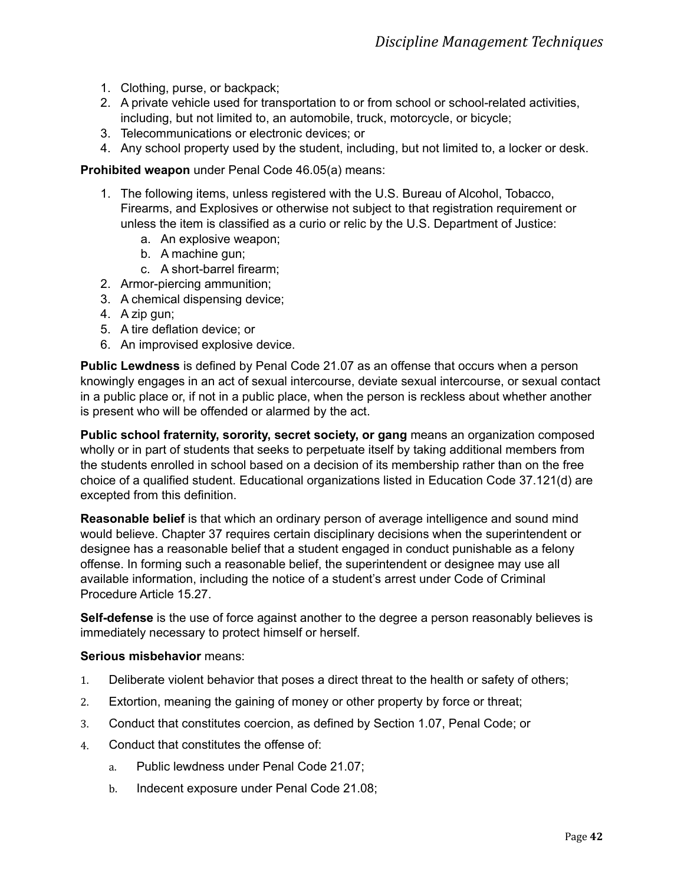- 1. Clothing, purse, or backpack;
- 2. A private vehicle used for transportation to or from school or school-related activities, including, but not limited to, an automobile, truck, motorcycle, or bicycle;
- 3. Telecommunications or electronic devices; or
- 4. Any school property used by the student, including, but not limited to, a locker or desk.

#### **Prohibited weapon** under Penal Code 46.05(a) means:

- 1. The following items, unless registered with the U.S. Bureau of Alcohol, Tobacco, Firearms, and Explosives or otherwise not subject to that registration requirement or unless the item is classified as a curio or relic by the U.S. Department of Justice:
	- a. An explosive weapon;
	- b. A machine gun;
	- c. A short-barrel firearm;
- 2. Armor-piercing ammunition;
- 3. A chemical dispensing device;
- 4. A zip gun;
- 5. A tire deflation device; or
- 6. An improvised explosive device.

**Public Lewdness** is defined by Penal Code 21.07 as an offense that occurs when a person knowingly engages in an act of sexual intercourse, deviate sexual intercourse, or sexual contact in a public place or, if not in a public place, when the person is reckless about whether another is present who will be offended or alarmed by the act.

**Public school fraternity, sorority, secret society, or gang** means an organization composed wholly or in part of students that seeks to perpetuate itself by taking additional members from the students enrolled in school based on a decision of its membership rather than on the free choice of a qualified student. Educational organizations listed in Education Code 37.121(d) are excepted from this definition.

**Reasonable belief** is that which an ordinary person of average intelligence and sound mind would believe. Chapter 37 requires certain disciplinary decisions when the superintendent or designee has a reasonable belief that a student engaged in conduct punishable as a felony offense. In forming such a reasonable belief, the superintendent or designee may use all available information, including the notice of a student's arrest under Code of Criminal Procedure Article 15.27.

**Self-defense** is the use of force against another to the degree a person reasonably believes is immediately necessary to protect himself or herself.

#### **Serious misbehavior** means:

- 1. Deliberate violent behavior that poses a direct threat to the health or safety of others;
- 2. Extortion, meaning the gaining of money or other property by force or threat;
- 3. Conduct that constitutes coercion, as defined by Section 1.07, Penal Code; or
- 4. Conduct that constitutes the offense of:
	- a. Public lewdness under Penal Code 21.07;
	- b. Indecent exposure under Penal Code 21.08;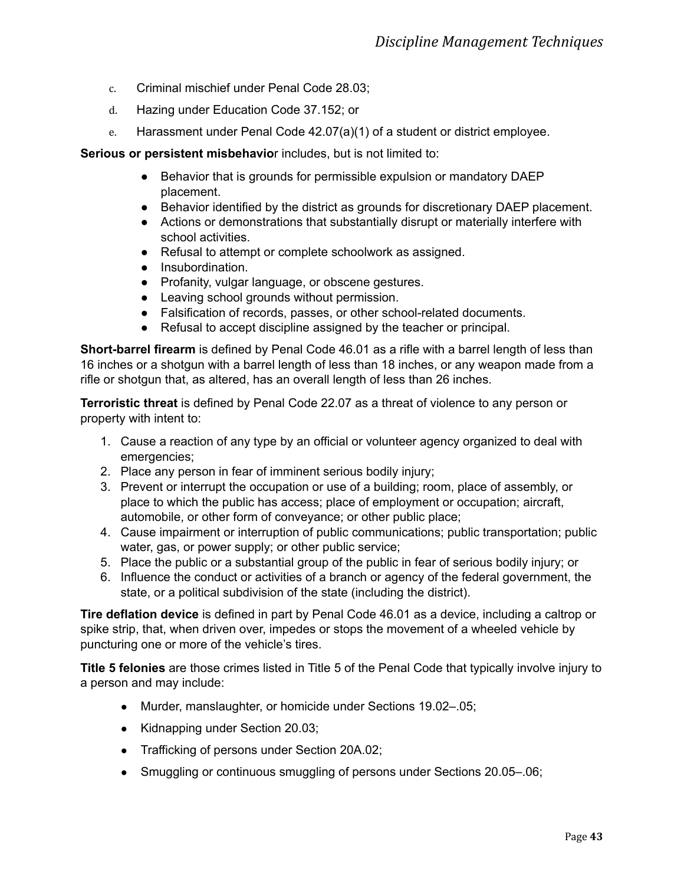- c. Criminal mischief under Penal Code 28.03;
- d. Hazing under Education Code 37.152; or
- e. Harassment under Penal Code 42.07(a)(1) of a student or district employee.

**Serious or persistent misbehavio**r includes, but is not limited to:

- Behavior that is grounds for permissible expulsion or mandatory DAEP placement.
- Behavior identified by the district as grounds for discretionary DAEP placement.
- Actions or demonstrations that substantially disrupt or materially interfere with school activities.
- Refusal to attempt or complete schoolwork as assigned.
- Insubordination.
- Profanity, vulgar language, or obscene gestures.
- Leaving school grounds without permission.
- Falsification of records, passes, or other school-related documents.
- Refusal to accept discipline assigned by the teacher or principal.

**Short-barrel firearm** is defined by Penal Code 46.01 as a rifle with a barrel length of less than 16 inches or a shotgun with a barrel length of less than 18 inches, or any weapon made from a rifle or shotgun that, as altered, has an overall length of less than 26 inches.

**Terroristic threat** is defined by Penal Code 22.07 as a threat of violence to any person or property with intent to:

- 1. Cause a reaction of any type by an official or volunteer agency organized to deal with emergencies;
- 2. Place any person in fear of imminent serious bodily injury;
- 3. Prevent or interrupt the occupation or use of a building; room, place of assembly, or place to which the public has access; place of employment or occupation; aircraft, automobile, or other form of conveyance; or other public place;
- 4. Cause impairment or interruption of public communications; public transportation; public water, gas, or power supply; or other public service;
- 5. Place the public or a substantial group of the public in fear of serious bodily injury; or
- 6. Influence the conduct or activities of a branch or agency of the federal government, the state, or a political subdivision of the state (including the district).

**Tire deflation device** is defined in part by Penal Code 46.01 as a device, including a caltrop or spike strip, that, when driven over, impedes or stops the movement of a wheeled vehicle by puncturing one or more of the vehicle's tires.

**Title 5 felonies** are those crimes listed in Title 5 of the Penal Code that typically involve injury to a person and may include:

- Murder, manslaughter, or homicide under Sections 19.02-05;
- Kidnapping under Section 20.03;
- Trafficking of persons under Section 20A.02;
- Smuggling or continuous smuggling of persons under Sections 20.05–.06;